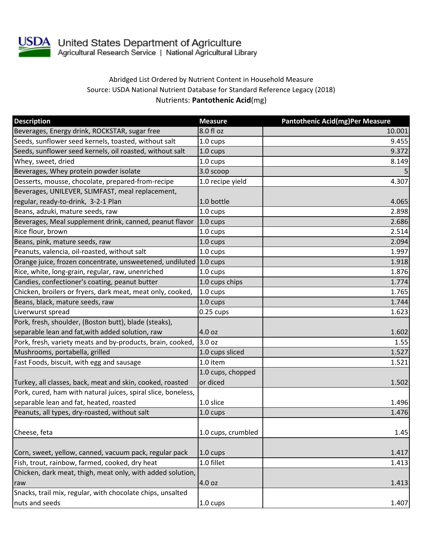

USDA United States Department of Agriculture<br>Agricultural Research Service | National Agricultural Library

## Abridged List Ordered by Nutrient Content in Household Measure Source: USDA National Nutrient Database for Standard Reference Legacy (2018) Nutrients: **Pantothenic Acid**(mg)

| <b>Description</b>                                                | <b>Measure</b>     | <b>Pantothenic Acid(mg)Per Measure</b> |
|-------------------------------------------------------------------|--------------------|----------------------------------------|
| Beverages, Energy drink, ROCKSTAR, sugar free                     | 8.0 fl oz          | 10.001                                 |
| Seeds, sunflower seed kernels, toasted, without salt              | 1.0 cups           | 9.455                                  |
| Seeds, sunflower seed kernels, oil roasted, without salt          | 1.0 cups           | 9.372                                  |
| Whey, sweet, dried                                                | 1.0 cups           | 8.149                                  |
| Beverages, Whey protein powder isolate                            | 3.0 scoop          | 5                                      |
| Desserts, mousse, chocolate, prepared-from-recipe                 | 1.0 recipe yield   | 4.307                                  |
| Beverages, UNILEVER, SLIMFAST, meal replacement,                  |                    |                                        |
| regular, ready-to-drink, 3-2-1 Plan                               | 1.0 bottle         | 4.065                                  |
| Beans, adzuki, mature seeds, raw                                  | 1.0 cups           | 2.898                                  |
| Beverages, Meal supplement drink, canned, peanut flavor           | $1.0 \text{ cups}$ | 2.686                                  |
| Rice flour, brown                                                 | 1.0 cups           | 2.514                                  |
| Beans, pink, mature seeds, raw                                    | 1.0 cups           | 2.094                                  |
| Peanuts, valencia, oil-roasted, without salt                      | 1.0 cups           | 1.997                                  |
| Orange juice, frozen concentrate, unsweetened, undiluted 1.0 cups |                    | 1.918                                  |
| Rice, white, long-grain, regular, raw, unenriched                 | 1.0 cups           | 1.876                                  |
| Candies, confectioner's coating, peanut butter                    | 1.0 cups chips     | 1.774                                  |
| Chicken, broilers or fryers, dark meat, meat only, cooked,        | $1.0 \text{ cups}$ | 1.765                                  |
| Beans, black, mature seeds, raw                                   | 1.0 cups           | 1.744                                  |
| Liverwurst spread                                                 | $0.25$ cups        | 1.623                                  |
| Pork, fresh, shoulder, (Boston butt), blade (steaks),             |                    |                                        |
| separable lean and fat, with added solution, raw                  | 4.0 oz             | 1.602                                  |
| Pork, fresh, variety meats and by-products, brain, cooked,        | 3.0 oz             | 1.55                                   |
| Mushrooms, portabella, grilled                                    | 1.0 cups sliced    | 1.527                                  |
| Fast Foods, biscuit, with egg and sausage                         | 1.0 item           | 1.521                                  |
|                                                                   | 1.0 cups, chopped  |                                        |
| Turkey, all classes, back, meat and skin, cooked, roasted         | or diced           | 1.502                                  |
| Pork, cured, ham with natural juices, spiral slice, boneless,     |                    |                                        |
| separable lean and fat, heated, roasted                           | 1.0 slice          | 1.496                                  |
| Peanuts, all types, dry-roasted, without salt                     | 1.0 cups           | 1.476                                  |
|                                                                   |                    |                                        |
| Cheese, feta                                                      | 1.0 cups, crumbled | 1.45                                   |
|                                                                   |                    |                                        |
| Corn, sweet, yellow, canned, vacuum pack, regular pack            | $1.0 \text{ cups}$ | 1.417                                  |
| Fish, trout, rainbow, farmed, cooked, dry heat                    | 1.0 fillet         | 1.413                                  |
| Chicken, dark meat, thigh, meat only, with added solution,        |                    |                                        |
| raw                                                               | 4.0 oz             | 1.413                                  |
| Snacks, trail mix, regular, with chocolate chips, unsalted        |                    |                                        |
| nuts and seeds                                                    | 1.0 cups           | 1.407                                  |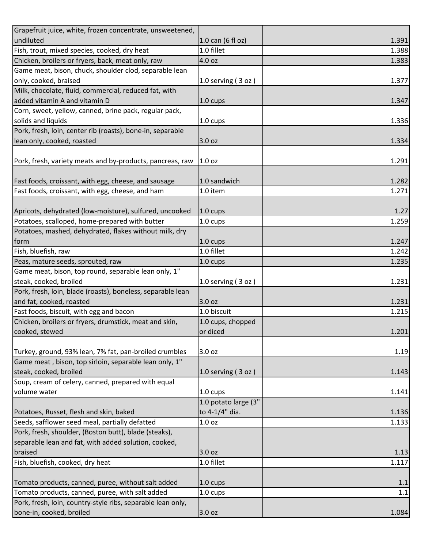| Grapefruit juice, white, frozen concentrate, unsweetened,   |                      |       |
|-------------------------------------------------------------|----------------------|-------|
| undiluted                                                   | 1.0 can (6 fl oz)    | 1.391 |
| Fish, trout, mixed species, cooked, dry heat                | 1.0 fillet           | 1.388 |
| Chicken, broilers or fryers, back, meat only, raw           | 4.0 oz               | 1.383 |
| Game meat, bison, chuck, shoulder clod, separable lean      |                      |       |
| only, cooked, braised                                       | 1.0 serving $(3 oz)$ | 1.377 |
| Milk, chocolate, fluid, commercial, reduced fat, with       |                      |       |
| added vitamin A and vitamin D                               | $1.0 \text{ cups}$   | 1.347 |
| Corn, sweet, yellow, canned, brine pack, regular pack,      |                      |       |
| solids and liquids                                          | 1.0 cups             | 1.336 |
| Pork, fresh, loin, center rib (roasts), bone-in, separable  |                      |       |
| lean only, cooked, roasted                                  | 3.0 oz               | 1.334 |
|                                                             |                      |       |
| Pork, fresh, variety meats and by-products, pancreas, raw   | 1.0 oz               | 1.291 |
|                                                             |                      |       |
| Fast foods, croissant, with egg, cheese, and sausage        | 1.0 sandwich         | 1.282 |
| Fast foods, croissant, with egg, cheese, and ham            | $1.0$ item           | 1.271 |
|                                                             |                      |       |
| Apricots, dehydrated (low-moisture), sulfured, uncooked     | $1.0 \text{ cups}$   | 1.27  |
| Potatoes, scalloped, home-prepared with butter              | 1.0 cups             | 1.259 |
| Potatoes, mashed, dehydrated, flakes without milk, dry      |                      |       |
| form                                                        | $1.0 \text{ cups}$   | 1.247 |
| Fish, bluefish, raw                                         | 1.0 fillet           | 1.242 |
| Peas, mature seeds, sprouted, raw                           | $1.0 \text{ cups}$   | 1.235 |
| Game meat, bison, top round, separable lean only, 1"        |                      |       |
| steak, cooked, broiled                                      | 1.0 serving $(3 oz)$ | 1.231 |
| Pork, fresh, loin, blade (roasts), boneless, separable lean |                      |       |
| and fat, cooked, roasted                                    | 3.0 oz               | 1.231 |
| Fast foods, biscuit, with egg and bacon                     | 1.0 biscuit          | 1.215 |
| Chicken, broilers or fryers, drumstick, meat and skin,      | 1.0 cups, chopped    |       |
| cooked, stewed                                              | or diced             | 1.201 |
|                                                             |                      |       |
| Turkey, ground, 93% lean, 7% fat, pan-broiled crumbles      | 3.0 oz               | 1.19  |
| Game meat, bison, top sirloin, separable lean only, 1"      |                      |       |
| steak, cooked, broiled                                      | 1.0 serving (3 oz)   | 1.143 |
| Soup, cream of celery, canned, prepared with equal          |                      |       |
| volume water                                                | 1.0 cups             | 1.141 |
|                                                             | 1.0 potato large (3" |       |
| Potatoes, Russet, flesh and skin, baked                     | to 4-1/4" dia.       | 1.136 |
| Seeds, safflower seed meal, partially defatted              | 1.0 oz               | 1.133 |
| Pork, fresh, shoulder, (Boston butt), blade (steaks),       |                      |       |
| separable lean and fat, with added solution, cooked,        |                      |       |
| braised                                                     | 3.0 oz               | 1.13  |
| Fish, bluefish, cooked, dry heat                            | 1.0 fillet           | 1.117 |
|                                                             |                      |       |
| Tomato products, canned, puree, without salt added          | $1.0 \text{ cups}$   | 1.1   |
| Tomato products, canned, puree, with salt added             | 1.0 cups             | 1.1   |
| Pork, fresh, loin, country-style ribs, separable lean only, |                      |       |
| bone-in, cooked, broiled                                    | 3.0 oz               | 1.084 |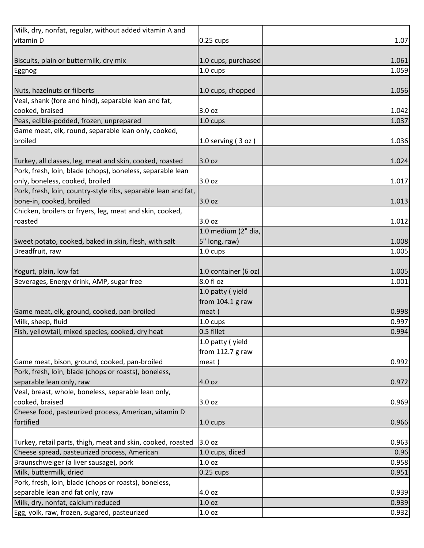| Milk, dry, nonfat, regular, without added vitamin A and        |                      |       |
|----------------------------------------------------------------|----------------------|-------|
| vitamin D                                                      | $0.25 \text{ cups}$  | 1.07  |
|                                                                |                      |       |
| Biscuits, plain or buttermilk, dry mix                         | 1.0 cups, purchased  | 1.061 |
| Eggnog                                                         | 1.0 cups             | 1.059 |
|                                                                |                      |       |
| Nuts, hazelnuts or filberts                                    | 1.0 cups, chopped    | 1.056 |
| Veal, shank (fore and hind), separable lean and fat,           |                      |       |
| cooked, braised                                                | 3.0 oz               | 1.042 |
| Peas, edible-podded, frozen, unprepared                        | $1.0 \text{ cups}$   | 1.037 |
| Game meat, elk, round, separable lean only, cooked,            |                      |       |
| broiled                                                        | 1.0 serving $(3 oz)$ | 1.036 |
|                                                                |                      |       |
| Turkey, all classes, leg, meat and skin, cooked, roasted       | 3.0 oz               | 1.024 |
| Pork, fresh, loin, blade (chops), boneless, separable lean     |                      |       |
| only, boneless, cooked, broiled                                | 3.0 oz               | 1.017 |
| Pork, fresh, loin, country-style ribs, separable lean and fat, |                      |       |
| bone-in, cooked, broiled                                       | 3.0 oz               | 1.013 |
| Chicken, broilers or fryers, leg, meat and skin, cooked,       |                      |       |
| roasted                                                        | 3.0 oz               | 1.012 |
|                                                                | 1.0 medium (2" dia,  |       |
| Sweet potato, cooked, baked in skin, flesh, with salt          | 5" long, raw)        | 1.008 |
| Breadfruit, raw                                                | 1.0 cups             | 1.005 |
|                                                                |                      |       |
| Yogurt, plain, low fat                                         | 1.0 container (6 oz) | 1.005 |
| Beverages, Energy drink, AMP, sugar free                       | 8.0 fl oz            | 1.001 |
|                                                                | 1.0 patty (yield     |       |
|                                                                | from $104.1$ g raw   |       |
| Game meat, elk, ground, cooked, pan-broiled                    | meat)                | 0.998 |
| Milk, sheep, fluid                                             | 1.0 cups             | 0.997 |
| Fish, yellowtail, mixed species, cooked, dry heat              | 0.5 fillet           | 0.994 |
|                                                                | 1.0 patty (yield     |       |
|                                                                | from $112.7$ g raw   |       |
| Game meat, bison, ground, cooked, pan-broiled                  | meat)                | 0.992 |
| Pork, fresh, loin, blade (chops or roasts), boneless,          |                      |       |
| separable lean only, raw                                       | 4.0 oz               | 0.972 |
| Veal, breast, whole, boneless, separable lean only,            |                      |       |
| cooked, braised                                                | 3.0 oz               | 0.969 |
| Cheese food, pasteurized process, American, vitamin D          |                      |       |
| fortified                                                      | $1.0 \text{ cups}$   | 0.966 |
|                                                                |                      |       |
| Turkey, retail parts, thigh, meat and skin, cooked, roasted    | 3.0 oz               | 0.963 |
| Cheese spread, pasteurized process, American                   | 1.0 cups, diced      | 0.96  |
| Braunschweiger (a liver sausage), pork                         | 1.0 <sub>oz</sub>    | 0.958 |
| Milk, buttermilk, dried                                        | $0.25 \text{ cups}$  | 0.951 |
| Pork, fresh, loin, blade (chops or roasts), boneless,          |                      |       |
| separable lean and fat only, raw                               | 4.0 oz               | 0.939 |
| Milk, dry, nonfat, calcium reduced                             | 1.0 oz               | 0.939 |
| Egg, yolk, raw, frozen, sugared, pasteurized                   | 1.0 oz               | 0.932 |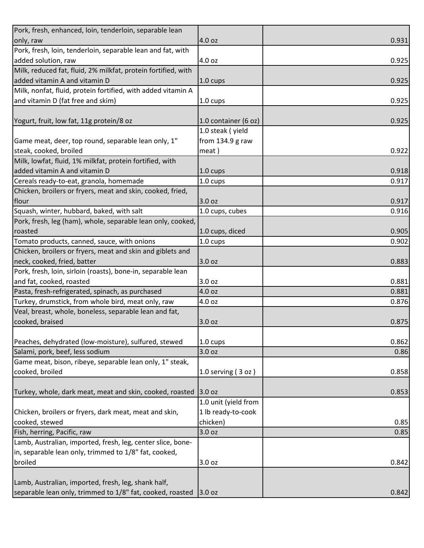| Pork, fresh, enhanced, loin, tenderloin, separable lean       |                      |       |
|---------------------------------------------------------------|----------------------|-------|
| only, raw                                                     | 4.0 oz               | 0.931 |
| Pork, fresh, loin, tenderloin, separable lean and fat, with   |                      |       |
| added solution, raw                                           | 4.0 oz               | 0.925 |
| Milk, reduced fat, fluid, 2% milkfat, protein fortified, with |                      |       |
| added vitamin A and vitamin D                                 | $1.0 \text{ cups}$   | 0.925 |
| Milk, nonfat, fluid, protein fortified, with added vitamin A  |                      |       |
| and vitamin D (fat free and skim)                             | 1.0 cups             | 0.925 |
|                                                               |                      |       |
| Yogurt, fruit, low fat, 11g protein/8 oz                      | 1.0 container (6 oz) | 0.925 |
|                                                               | 1.0 steak (yield     |       |
| Game meat, deer, top round, separable lean only, 1"           | from $134.9$ g raw   |       |
| steak, cooked, broiled                                        | meat)                | 0.922 |
| Milk, lowfat, fluid, 1% milkfat, protein fortified, with      |                      |       |
| added vitamin A and vitamin D                                 | $1.0 \text{ cups}$   | 0.918 |
| Cereals ready-to-eat, granola, homemade                       | 1.0 cups             | 0.917 |
| Chicken, broilers or fryers, meat and skin, cooked, fried,    |                      |       |
| flour                                                         | 3.0 oz               | 0.917 |
| Squash, winter, hubbard, baked, with salt                     | 1.0 cups, cubes      | 0.916 |
| Pork, fresh, leg (ham), whole, separable lean only, cooked,   |                      |       |
| roasted                                                       | 1.0 cups, diced      | 0.905 |
| Tomato products, canned, sauce, with onions                   | 1.0 cups             | 0.902 |
| Chicken, broilers or fryers, meat and skin and giblets and    |                      |       |
| neck, cooked, fried, batter                                   | 3.0 oz               | 0.883 |
| Pork, fresh, loin, sirloin (roasts), bone-in, separable lean  |                      |       |
| and fat, cooked, roasted                                      | 3.0 oz               | 0.881 |
| Pasta, fresh-refrigerated, spinach, as purchased              | 4.0 oz               | 0.881 |
| Turkey, drumstick, from whole bird, meat only, raw            | 4.0 oz               | 0.876 |
| Veal, breast, whole, boneless, separable lean and fat,        |                      |       |
| cooked, braised                                               | 3.0 oz               | 0.875 |
|                                                               |                      |       |
| Peaches, dehydrated (low-moisture), sulfured, stewed          | 1.0 cups             | 0.862 |
| Salami, pork, beef, less sodium                               | 3.0 oz               | 0.86  |
| Game meat, bison, ribeye, separable lean only, 1" steak,      |                      |       |
| cooked, broiled                                               | 1.0 serving (3 oz)   | 0.858 |
|                                                               |                      |       |
| Turkey, whole, dark meat, meat and skin, cooked, roasted      | 3.0 oz               | 0.853 |
|                                                               | 1.0 unit (yield from |       |
| Chicken, broilers or fryers, dark meat, meat and skin,        | 1 lb ready-to-cook   |       |
| cooked, stewed                                                | chicken)             | 0.85  |
| Fish, herring, Pacific, raw                                   | 3.0 oz               | 0.85  |
| Lamb, Australian, imported, fresh, leg, center slice, bone-   |                      |       |
| in, separable lean only, trimmed to 1/8" fat, cooked,         |                      |       |
| broiled                                                       | 3.0 oz               | 0.842 |
|                                                               |                      |       |
| Lamb, Australian, imported, fresh, leg, shank half,           |                      |       |
| separable lean only, trimmed to 1/8" fat, cooked, roasted     | 3.0 oz               | 0.842 |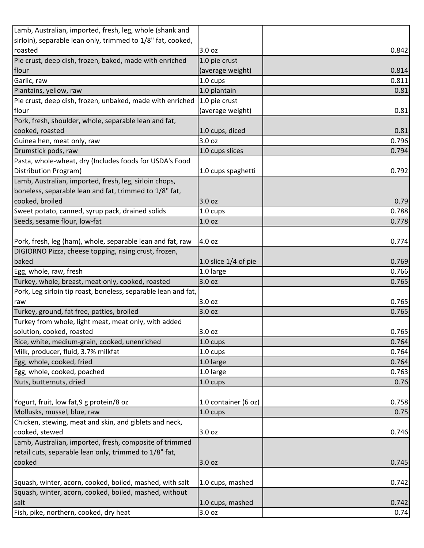| Lamb, Australian, imported, fresh, leg, whole (shank and       |                        |                |
|----------------------------------------------------------------|------------------------|----------------|
| sirloin), separable lean only, trimmed to 1/8" fat, cooked,    |                        |                |
| roasted                                                        | 3.0 oz                 | 0.842          |
| Pie crust, deep dish, frozen, baked, made with enriched        | 1.0 pie crust          |                |
| flour                                                          | (average weight)       | 0.814          |
| Garlic, raw                                                    | $1.0 \text{ cups}$     | 0.811          |
| Plantains, yellow, raw                                         | 1.0 plantain           | 0.81           |
| Pie crust, deep dish, frozen, unbaked, made with enriched      | 1.0 pie crust          |                |
| flour                                                          | (average weight)       | 0.81           |
| Pork, fresh, shoulder, whole, separable lean and fat,          |                        |                |
| cooked, roasted                                                | 1.0 cups, diced        | 0.81           |
| Guinea hen, meat only, raw                                     | 3.0 oz                 | 0.796          |
| Drumstick pods, raw                                            | 1.0 cups slices        | 0.794          |
| Pasta, whole-wheat, dry (Includes foods for USDA's Food        |                        |                |
| Distribution Program)                                          | 1.0 cups spaghetti     | 0.792          |
| Lamb, Australian, imported, fresh, leg, sirloin chops,         |                        |                |
| boneless, separable lean and fat, trimmed to 1/8" fat,         |                        |                |
| cooked, broiled                                                | 3.0 oz                 | 0.79           |
| Sweet potato, canned, syrup pack, drained solids               | 1.0 cups               | 0.788          |
| Seeds, sesame flour, low-fat                                   | 1.0 <sub>oz</sub>      | 0.778          |
|                                                                |                        |                |
| Pork, fresh, leg (ham), whole, separable lean and fat, raw     | 4.0 oz                 | 0.774          |
| DIGIORNO Pizza, cheese topping, rising crust, frozen,          |                        |                |
| baked                                                          | 1.0 slice $1/4$ of pie | 0.769          |
| Egg, whole, raw, fresh                                         | 1.0 large              | 0.766          |
| Turkey, whole, breast, meat only, cooked, roasted              | 3.0 oz                 | 0.765          |
| Pork, Leg sirloin tip roast, boneless, separable lean and fat, |                        |                |
|                                                                | 3.0 oz                 |                |
| raw                                                            | 3.0 oz                 | 0.765<br>0.765 |
| Turkey, ground, fat free, patties, broiled                     |                        |                |
| Turkey from whole, light meat, meat only, with added           |                        |                |
| solution, cooked, roasted                                      | 3.0 oz                 | 0.765          |
| Rice, white, medium-grain, cooked, unenriched                  | 1.0 cups               | 0.764          |
| Milk, producer, fluid, 3.7% milkfat                            | 1.0 cups               | 0.764          |
| Egg, whole, cooked, fried                                      | 1.0 large              | 0.764          |
| Egg, whole, cooked, poached                                    | 1.0 large              | 0.763          |
| Nuts, butternuts, dried                                        | 1.0 cups               | 0.76           |
|                                                                |                        |                |
| Yogurt, fruit, low fat, 9 g protein/8 oz                       | 1.0 container (6 oz)   | 0.758          |
| Mollusks, mussel, blue, raw                                    | 1.0 cups               | 0.75           |
| Chicken, stewing, meat and skin, and giblets and neck,         |                        |                |
| cooked, stewed                                                 | 3.0 oz                 | 0.746          |
| Lamb, Australian, imported, fresh, composite of trimmed        |                        |                |
| retail cuts, separable lean only, trimmed to 1/8" fat,         |                        |                |
| cooked                                                         | 3.0 oz                 | 0.745          |
|                                                                |                        |                |
| Squash, winter, acorn, cooked, boiled, mashed, with salt       | 1.0 cups, mashed       | 0.742          |
| Squash, winter, acorn, cooked, boiled, mashed, without         |                        |                |
| salt                                                           | 1.0 cups, mashed       | 0.742          |
| Fish, pike, northern, cooked, dry heat                         | 3.0 oz                 | 0.74           |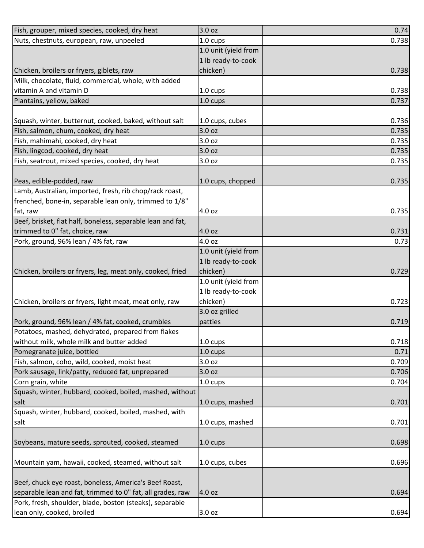| Fish, grouper, mixed species, cooked, dry heat                          | 3.0 oz               | 0.74  |
|-------------------------------------------------------------------------|----------------------|-------|
| Nuts, chestnuts, european, raw, unpeeled                                | 1.0 cups             | 0.738 |
|                                                                         | 1.0 unit (yield from |       |
|                                                                         | 1 lb ready-to-cook   |       |
| Chicken, broilers or fryers, giblets, raw                               | chicken)             | 0.738 |
| Milk, chocolate, fluid, commercial, whole, with added                   |                      |       |
| vitamin A and vitamin D                                                 | 1.0 cups             | 0.738 |
| Plantains, yellow, baked                                                | 1.0 cups             | 0.737 |
|                                                                         |                      |       |
| Squash, winter, butternut, cooked, baked, without salt                  | 1.0 cups, cubes      | 0.736 |
| Fish, salmon, chum, cooked, dry heat                                    | 3.0 oz               | 0.735 |
| Fish, mahimahi, cooked, dry heat                                        | 3.0 oz               | 0.735 |
| Fish, lingcod, cooked, dry heat                                         | 3.0 oz               | 0.735 |
| Fish, seatrout, mixed species, cooked, dry heat                         | 3.0 oz               | 0.735 |
|                                                                         |                      |       |
| Peas, edible-podded, raw                                                | 1.0 cups, chopped    | 0.735 |
| Lamb, Australian, imported, fresh, rib chop/rack roast,                 |                      |       |
| frenched, bone-in, separable lean only, trimmed to 1/8"                 |                      |       |
| fat, raw                                                                | 4.0 oz               | 0.735 |
| Beef, brisket, flat half, boneless, separable lean and fat,             |                      |       |
| trimmed to 0" fat, choice, raw                                          | 4.0 oz               | 0.731 |
| Pork, ground, 96% lean / 4% fat, raw                                    | 4.0 oz               | 0.73  |
|                                                                         | 1.0 unit (yield from |       |
|                                                                         | 1 lb ready-to-cook   |       |
| Chicken, broilers or fryers, leg, meat only, cooked, fried              | chicken)             | 0.729 |
|                                                                         | 1.0 unit (yield from |       |
|                                                                         | 1 lb ready-to-cook   |       |
| Chicken, broilers or fryers, light meat, meat only, raw                 | chicken)             | 0.723 |
|                                                                         | 3.0 oz grilled       |       |
| Pork, ground, 96% lean / 4% fat, cooked, crumbles                       | patties              | 0.719 |
| Potatoes, mashed, dehydrated, prepared from flakes                      | $1.0 \text{ cups}$   | 0.718 |
| without milk, whole milk and butter added<br>Pomegranate juice, bottled | 1.0 cups             | 0.71  |
| Fish, salmon, coho, wild, cooked, moist heat                            | 3.0 oz               | 0.709 |
| Pork sausage, link/patty, reduced fat, unprepared                       | 3.0 oz               | 0.706 |
| Corn grain, white                                                       | 1.0 cups             | 0.704 |
| Squash, winter, hubbard, cooked, boiled, mashed, without                |                      |       |
| salt                                                                    | 1.0 cups, mashed     | 0.701 |
| Squash, winter, hubbard, cooked, boiled, mashed, with                   |                      |       |
| salt                                                                    | 1.0 cups, mashed     | 0.701 |
|                                                                         |                      |       |
| Soybeans, mature seeds, sprouted, cooked, steamed                       | $1.0 \text{ cups}$   | 0.698 |
|                                                                         |                      |       |
| Mountain yam, hawaii, cooked, steamed, without salt                     | 1.0 cups, cubes      | 0.696 |
|                                                                         |                      |       |
| Beef, chuck eye roast, boneless, America's Beef Roast,                  |                      |       |
| separable lean and fat, trimmed to 0" fat, all grades, raw              | 4.0 oz               | 0.694 |
| Pork, fresh, shoulder, blade, boston (steaks), separable                |                      |       |
| lean only, cooked, broiled                                              | 3.0 oz               | 0.694 |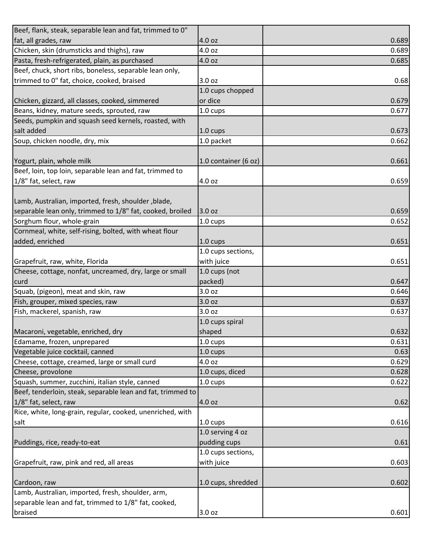| Beef, flank, steak, separable lean and fat, trimmed to 0"   |                      |       |
|-------------------------------------------------------------|----------------------|-------|
| fat, all grades, raw                                        | 4.0 oz               | 0.689 |
| Chicken, skin (drumsticks and thighs), raw                  | 4.0 oz               | 0.689 |
| Pasta, fresh-refrigerated, plain, as purchased              | 4.0 oz               | 0.685 |
| Beef, chuck, short ribs, boneless, separable lean only,     |                      |       |
| trimmed to 0" fat, choice, cooked, braised                  | 3.0 oz               | 0.68  |
|                                                             | 1.0 cups chopped     |       |
| Chicken, gizzard, all classes, cooked, simmered             | or dice              | 0.679 |
| Beans, kidney, mature seeds, sprouted, raw                  | $1.0 \text{ cups}$   | 0.677 |
| Seeds, pumpkin and squash seed kernels, roasted, with       |                      |       |
| salt added                                                  | $1.0 \text{ cups}$   | 0.673 |
| Soup, chicken noodle, dry, mix                              | 1.0 packet           | 0.662 |
|                                                             |                      |       |
| Yogurt, plain, whole milk                                   | 1.0 container (6 oz) | 0.661 |
| Beef, loin, top loin, separable lean and fat, trimmed to    |                      |       |
| 1/8" fat, select, raw                                       | 4.0 oz               | 0.659 |
|                                                             |                      |       |
| Lamb, Australian, imported, fresh, shoulder, blade,         |                      |       |
| separable lean only, trimmed to 1/8" fat, cooked, broiled   | 3.0 oz               | 0.659 |
| Sorghum flour, whole-grain                                  | 1.0 cups             | 0.652 |
| Cornmeal, white, self-rising, bolted, with wheat flour      |                      |       |
| added, enriched                                             | $1.0 \text{ cups}$   | 0.651 |
|                                                             | 1.0 cups sections,   |       |
| Grapefruit, raw, white, Florida                             | with juice           | 0.651 |
| Cheese, cottage, nonfat, uncreamed, dry, large or small     | 1.0 cups (not        |       |
| curd                                                        | packed)              | 0.647 |
| Squab, (pigeon), meat and skin, raw                         | 3.0 oz               | 0.646 |
| Fish, grouper, mixed species, raw                           | 3.0 oz               | 0.637 |
| Fish, mackerel, spanish, raw                                | 3.0 oz               | 0.637 |
|                                                             | 1.0 cups spiral      |       |
| Macaroni, vegetable, enriched, dry                          | shaped               | 0.632 |
| Edamame, frozen, unprepared                                 | 1.0 cups             | 0.631 |
| Vegetable juice cocktail, canned                            | 1.0 cups             | 0.63  |
| Cheese, cottage, creamed, large or small curd               | 4.0 oz               | 0.629 |
| Cheese, provolone                                           | 1.0 cups, diced      | 0.628 |
| Squash, summer, zucchini, italian style, canned             | $1.0 \text{ cups}$   | 0.622 |
| Beef, tenderloin, steak, separable lean and fat, trimmed to |                      |       |
| 1/8" fat, select, raw                                       | 4.0 oz               | 0.62  |
| Rice, white, long-grain, regular, cooked, unenriched, with  |                      |       |
| salt                                                        | $1.0 \text{ cups}$   | 0.616 |
|                                                             | 1.0 serving 4 oz     |       |
| Puddings, rice, ready-to-eat                                | pudding cups         | 0.61  |
|                                                             | 1.0 cups sections,   |       |
| Grapefruit, raw, pink and red, all areas                    | with juice           | 0.603 |
|                                                             |                      |       |
| Cardoon, raw                                                | 1.0 cups, shredded   | 0.602 |
| Lamb, Australian, imported, fresh, shoulder, arm,           |                      |       |
| separable lean and fat, trimmed to 1/8" fat, cooked,        |                      |       |
| braised                                                     | 3.0 oz               | 0.601 |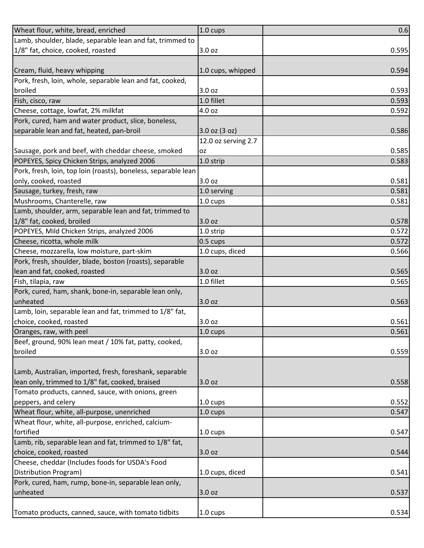| Wheat flour, white, bread, enriched                            | 1.0 cups            | 0.6   |
|----------------------------------------------------------------|---------------------|-------|
| Lamb, shoulder, blade, separable lean and fat, trimmed to      |                     |       |
| 1/8" fat, choice, cooked, roasted                              | 3.0 <sub>oz</sub>   | 0.595 |
|                                                                |                     |       |
| Cream, fluid, heavy whipping                                   | 1.0 cups, whipped   | 0.594 |
| Pork, fresh, loin, whole, separable lean and fat, cooked,      |                     |       |
| broiled                                                        | 3.0 oz              | 0.593 |
| Fish, cisco, raw                                               | 1.0 fillet          | 0.593 |
| Cheese, cottage, lowfat, 2% milkfat                            | 4.0 oz              | 0.592 |
| Pork, cured, ham and water product, slice, boneless,           |                     |       |
| separable lean and fat, heated, pan-broil                      | 3.0 oz (3 oz)       | 0.586 |
|                                                                | 12.0 oz serving 2.7 |       |
| Sausage, pork and beef, with cheddar cheese, smoked            | <b>OZ</b>           | 0.585 |
| POPEYES, Spicy Chicken Strips, analyzed 2006                   | 1.0 strip           | 0.583 |
| Pork, fresh, loin, top loin (roasts), boneless, separable lean |                     |       |
| only, cooked, roasted                                          | 3.0 oz              | 0.581 |
| Sausage, turkey, fresh, raw                                    | 1.0 serving         | 0.581 |
| Mushrooms, Chanterelle, raw                                    | 1.0 cups            | 0.581 |
| Lamb, shoulder, arm, separable lean and fat, trimmed to        |                     |       |
| 1/8" fat, cooked, broiled                                      | 3.0 oz              | 0.578 |
| POPEYES, Mild Chicken Strips, analyzed 2006                    | 1.0 strip           | 0.572 |
| Cheese, ricotta, whole milk                                    | $0.5 \text{ cups}$  | 0.572 |
| Cheese, mozzarella, low moisture, part-skim                    | 1.0 cups, diced     | 0.566 |
| Pork, fresh, shoulder, blade, boston (roasts), separable       |                     |       |
| lean and fat, cooked, roasted                                  | 3.0 oz              | 0.565 |
| Fish, tilapia, raw                                             | 1.0 fillet          | 0.565 |
| Pork, cured, ham, shank, bone-in, separable lean only,         |                     |       |
| unheated                                                       | 3.0 oz              | 0.563 |
| Lamb, loin, separable lean and fat, trimmed to 1/8" fat,       |                     |       |
| choice, cooked, roasted                                        | 3.0 oz              | 0.561 |
| Oranges, raw, with peel                                        | 1.0 cups            | 0.561 |
| Beef, ground, 90% lean meat / 10% fat, patty, cooked,          |                     |       |
| broiled                                                        | 3.0 oz              | 0.559 |
|                                                                |                     |       |
| Lamb, Australian, imported, fresh, foreshank, separable        |                     |       |
| lean only, trimmed to 1/8" fat, cooked, braised                | 3.0 oz              | 0.558 |
| Tomato products, canned, sauce, with onions, green             |                     |       |
| peppers, and celery                                            | $1.0 \text{ cups}$  | 0.552 |
| Wheat flour, white, all-purpose, unenriched                    | $1.0 \text{ cups}$  | 0.547 |
| Wheat flour, white, all-purpose, enriched, calcium-            |                     |       |
| fortified                                                      | 1.0 cups            | 0.547 |
| Lamb, rib, separable lean and fat, trimmed to 1/8" fat,        |                     |       |
| choice, cooked, roasted                                        | 3.0 oz              | 0.544 |
| Cheese, cheddar (Includes foods for USDA's Food                |                     |       |
| Distribution Program)                                          | 1.0 cups, diced     | 0.541 |
| Pork, cured, ham, rump, bone-in, separable lean only,          |                     |       |
| unheated                                                       | 3.0 oz              | 0.537 |
|                                                                |                     |       |
| Tomato products, canned, sauce, with tomato tidbits            | 1.0 cups            | 0.534 |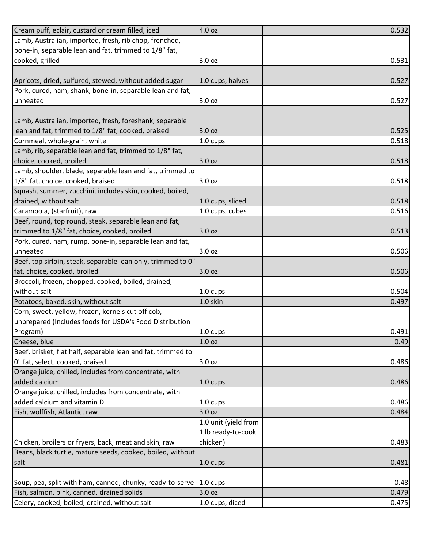| Cream puff, eclair, custard or cream filled, iced            | 4.0 oz               | 0.532 |
|--------------------------------------------------------------|----------------------|-------|
| Lamb, Australian, imported, fresh, rib chop, frenched,       |                      |       |
| bone-in, separable lean and fat, trimmed to 1/8" fat,        |                      |       |
| cooked, grilled                                              | 3.0 oz               | 0.531 |
|                                                              |                      |       |
| Apricots, dried, sulfured, stewed, without added sugar       | 1.0 cups, halves     | 0.527 |
| Pork, cured, ham, shank, bone-in, separable lean and fat,    |                      |       |
| unheated                                                     | 3.0 oz               | 0.527 |
|                                                              |                      |       |
| Lamb, Australian, imported, fresh, foreshank, separable      |                      |       |
| lean and fat, trimmed to 1/8" fat, cooked, braised           | 3.0 oz               | 0.525 |
| Cornmeal, whole-grain, white                                 | $1.0 \text{ cups}$   | 0.518 |
| Lamb, rib, separable lean and fat, trimmed to 1/8" fat,      |                      |       |
| choice, cooked, broiled                                      | 3.0 oz               | 0.518 |
| Lamb, shoulder, blade, separable lean and fat, trimmed to    |                      |       |
| 1/8" fat, choice, cooked, braised                            | 3.0 oz               | 0.518 |
| Squash, summer, zucchini, includes skin, cooked, boiled,     |                      |       |
| drained, without salt                                        | 1.0 cups, sliced     | 0.518 |
| Carambola, (starfruit), raw                                  | 1.0 cups, cubes      | 0.516 |
|                                                              |                      |       |
| Beef, round, top round, steak, separable lean and fat,       |                      |       |
| trimmed to 1/8" fat, choice, cooked, broiled                 | 3.0 oz               | 0.513 |
| Pork, cured, ham, rump, bone-in, separable lean and fat,     |                      |       |
| unheated                                                     | 3.0 oz               | 0.506 |
| Beef, top sirloin, steak, separable lean only, trimmed to 0" |                      |       |
| fat, choice, cooked, broiled                                 | 3.0 oz               | 0.506 |
| Broccoli, frozen, chopped, cooked, boiled, drained,          |                      |       |
| without salt                                                 | $1.0 \text{ cups}$   | 0.504 |
| Potatoes, baked, skin, without salt                          | 1.0 skin             | 0.497 |
| Corn, sweet, yellow, frozen, kernels cut off cob,            |                      |       |
| unprepared (Includes foods for USDA's Food Distribution      |                      |       |
| Program)                                                     | 1.0 cups             | 0.491 |
| Cheese, blue                                                 | 1.0 <sub>oz</sub>    | 0.49  |
| Beef, brisket, flat half, separable lean and fat, trimmed to |                      |       |
| 0" fat, select, cooked, braised                              | 3.0 oz               | 0.486 |
| Orange juice, chilled, includes from concentrate, with       |                      |       |
| added calcium                                                | $1.0 \text{ cups}$   | 0.486 |
| Orange juice, chilled, includes from concentrate, with       |                      |       |
| added calcium and vitamin D                                  | 1.0 cups             | 0.486 |
| Fish, wolffish, Atlantic, raw                                | 3.0 oz               | 0.484 |
|                                                              | 1.0 unit (yield from |       |
|                                                              | 1 lb ready-to-cook   |       |
| Chicken, broilers or fryers, back, meat and skin, raw        | chicken)             | 0.483 |
| Beans, black turtle, mature seeds, cooked, boiled, without   |                      |       |
| salt                                                         | $1.0 \text{ cups}$   | 0.481 |
|                                                              |                      |       |
| Soup, pea, split with ham, canned, chunky, ready-to-serve    | $1.0 \text{ cups}$   | 0.48  |
| Fish, salmon, pink, canned, drained solids                   | 3.0 oz               | 0.479 |
| Celery, cooked, boiled, drained, without salt                | 1.0 cups, diced      | 0.475 |
|                                                              |                      |       |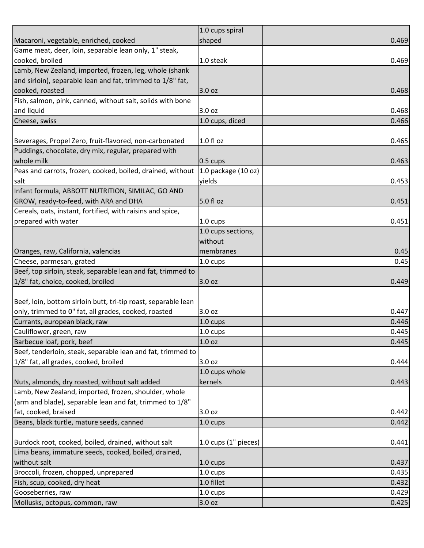|                                                                | 1.0 cups spiral          |       |
|----------------------------------------------------------------|--------------------------|-------|
| Macaroni, vegetable, enriched, cooked                          | shaped                   | 0.469 |
| Game meat, deer, loin, separable lean only, 1" steak,          |                          |       |
| cooked, broiled                                                | 1.0 steak                | 0.469 |
| Lamb, New Zealand, imported, frozen, leg, whole (shank         |                          |       |
| and sirloin), separable lean and fat, trimmed to 1/8" fat,     |                          |       |
| cooked, roasted                                                | 3.0 oz                   | 0.468 |
| Fish, salmon, pink, canned, without salt, solids with bone     |                          |       |
| and liquid                                                     | 3.0 oz                   | 0.468 |
| Cheese, swiss                                                  | 1.0 cups, diced          | 0.466 |
|                                                                |                          |       |
| Beverages, Propel Zero, fruit-flavored, non-carbonated         | 1.0 fl oz                | 0.465 |
| Puddings, chocolate, dry mix, regular, prepared with           |                          |       |
| whole milk                                                     | $0.5 \text{ cups}$       | 0.463 |
| Peas and carrots, frozen, cooked, boiled, drained, without     | 1.0 package $(10 oz)$    |       |
| salt                                                           | yields                   | 0.453 |
| Infant formula, ABBOTT NUTRITION, SIMILAC, GO AND              |                          |       |
| GROW, ready-to-feed, with ARA and DHA                          | 5.0 fl oz                | 0.451 |
| Cereals, oats, instant, fortified, with raisins and spice,     |                          |       |
| prepared with water                                            | $1.0 \text{ cups}$       | 0.451 |
|                                                                | 1.0 cups sections,       |       |
|                                                                | without                  |       |
|                                                                |                          |       |
| Oranges, raw, California, valencias                            | membranes                | 0.45  |
| Cheese, parmesan, grated                                       | 1.0 cups                 | 0.45  |
| Beef, top sirloin, steak, separable lean and fat, trimmed to   |                          |       |
| 1/8" fat, choice, cooked, broiled                              | 3.0 oz                   | 0.449 |
|                                                                |                          |       |
| Beef, loin, bottom sirloin butt, tri-tip roast, separable lean |                          |       |
| only, trimmed to 0" fat, all grades, cooked, roasted           | 3.0 oz                   | 0.447 |
| Currants, european black, raw                                  | 1.0 cups                 | 0.446 |
| Cauliflower, green, raw                                        | 1.0 cups                 | 0.445 |
| Barbecue loaf, pork, beef                                      | 1.0 oz                   | 0.445 |
| Beef, tenderloin, steak, separable lean and fat, trimmed to    |                          |       |
| 1/8" fat, all grades, cooked, broiled                          | 3.0 oz                   | 0.444 |
|                                                                | 1.0 cups whole           |       |
| Nuts, almonds, dry roasted, without salt added                 | kernels                  | 0.443 |
| Lamb, New Zealand, imported, frozen, shoulder, whole           |                          |       |
| (arm and blade), separable lean and fat, trimmed to 1/8"       |                          |       |
| fat, cooked, braised                                           | 3.0 oz                   | 0.442 |
| Beans, black turtle, mature seeds, canned                      | 1.0 cups                 | 0.442 |
|                                                                |                          |       |
| Burdock root, cooked, boiled, drained, without salt            | $1.0$ cups $(1"$ pieces) | 0.441 |
| Lima beans, immature seeds, cooked, boiled, drained,           |                          |       |
| without salt                                                   | $1.0 \text{ cups}$       | 0.437 |
| Broccoli, frozen, chopped, unprepared                          | 1.0 cups                 | 0.435 |
| Fish, scup, cooked, dry heat                                   | 1.0 fillet               | 0.432 |
| Gooseberries, raw                                              | 1.0 cups                 | 0.429 |
| Mollusks, octopus, common, raw                                 | 3.0 oz                   | 0.425 |
|                                                                |                          |       |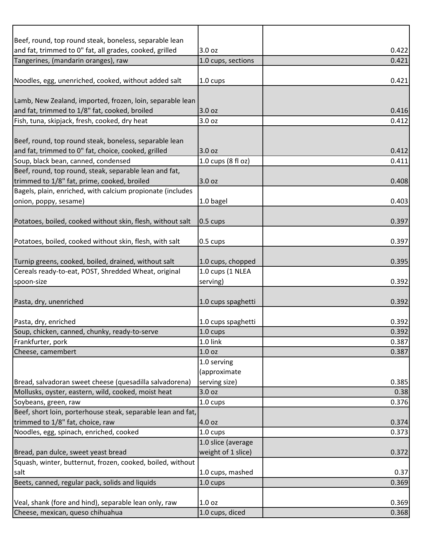| Beef, round, top round steak, boneless, separable lean       |                    |       |
|--------------------------------------------------------------|--------------------|-------|
| and fat, trimmed to 0" fat, all grades, cooked, grilled      | 3.0 oz             | 0.422 |
| Tangerines, (mandarin oranges), raw                          | 1.0 cups, sections | 0.421 |
|                                                              |                    |       |
| Noodles, egg, unenriched, cooked, without added salt         | 1.0 cups           | 0.421 |
|                                                              |                    |       |
| Lamb, New Zealand, imported, frozen, loin, separable lean    |                    |       |
| and fat, trimmed to 1/8" fat, cooked, broiled                | 3.0 oz             | 0.416 |
| Fish, tuna, skipjack, fresh, cooked, dry heat                | 3.0 oz             | 0.412 |
|                                                              |                    |       |
| Beef, round, top round steak, boneless, separable lean       |                    |       |
| and fat, trimmed to 0" fat, choice, cooked, grilled          | 3.0 oz             | 0.412 |
| Soup, black bean, canned, condensed                          | 1.0 cups (8 fl oz) | 0.411 |
| Beef, round, top round, steak, separable lean and fat,       |                    |       |
| trimmed to 1/8" fat, prime, cooked, broiled                  | 3.0 oz             | 0.408 |
| Bagels, plain, enriched, with calcium propionate (includes   |                    |       |
| onion, poppy, sesame)                                        | 1.0 bagel          | 0.403 |
|                                                              |                    |       |
| Potatoes, boiled, cooked without skin, flesh, without salt   | $0.5 \text{ cups}$ | 0.397 |
|                                                              |                    |       |
| Potatoes, boiled, cooked without skin, flesh, with salt      | 0.5 cups           | 0.397 |
|                                                              |                    |       |
| Turnip greens, cooked, boiled, drained, without salt         | 1.0 cups, chopped  | 0.395 |
| Cereals ready-to-eat, POST, Shredded Wheat, original         | 1.0 cups (1 NLEA   |       |
| spoon-size                                                   | serving)           | 0.392 |
|                                                              |                    |       |
| Pasta, dry, unenriched                                       | 1.0 cups spaghetti | 0.392 |
|                                                              |                    |       |
| Pasta, dry, enriched                                         | 1.0 cups spaghetti | 0.392 |
| Soup, chicken, canned, chunky, ready-to-serve                | 1.0 cups           | 0.392 |
| Frankfurter, pork                                            | 1.0 link           | 0.387 |
| Cheese, camembert                                            | 1.0 <sub>oz</sub>  | 0.387 |
|                                                              | 1.0 serving        |       |
|                                                              | (approximate       |       |
| Bread, salvadoran sweet cheese (quesadilla salvadorena)      | serving size)      | 0.385 |
| Mollusks, oyster, eastern, wild, cooked, moist heat          | 3.0 oz             | 0.38  |
| Soybeans, green, raw                                         | 1.0 cups           | 0.376 |
| Beef, short loin, porterhouse steak, separable lean and fat, |                    |       |
| trimmed to 1/8" fat, choice, raw                             | 4.0 oz             | 0.374 |
| Noodles, egg, spinach, enriched, cooked                      | 1.0 cups           | 0.373 |
|                                                              | 1.0 slice (average |       |
| Bread, pan dulce, sweet yeast bread                          | weight of 1 slice) | 0.372 |
| Squash, winter, butternut, frozen, cooked, boiled, without   |                    |       |
| salt                                                         | 1.0 cups, mashed   | 0.37  |
| Beets, canned, regular pack, solids and liquids              | 1.0 cups           | 0.369 |
|                                                              |                    |       |
| Veal, shank (fore and hind), separable lean only, raw        | 1.0 <sub>oz</sub>  | 0.369 |
| Cheese, mexican, queso chihuahua                             | 1.0 cups, diced    | 0.368 |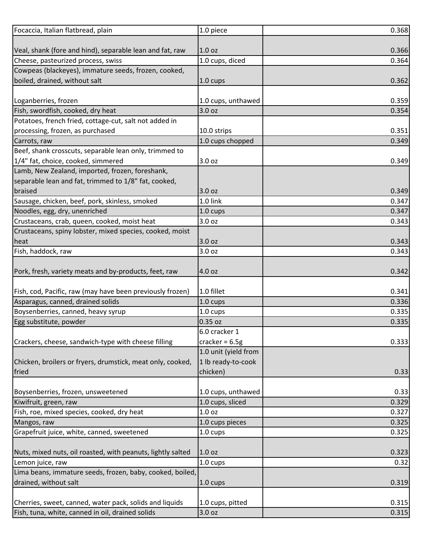| Focaccia, Italian flatbread, plain                          | 1.0 piece            | 0.368 |
|-------------------------------------------------------------|----------------------|-------|
|                                                             |                      |       |
| Veal, shank (fore and hind), separable lean and fat, raw    | 1.0 <sub>oz</sub>    | 0.366 |
| Cheese, pasteurized process, swiss                          | 1.0 cups, diced      | 0.364 |
| Cowpeas (blackeyes), immature seeds, frozen, cooked,        |                      |       |
| boiled, drained, without salt                               | $1.0 \text{ cups}$   | 0.362 |
|                                                             |                      |       |
| Loganberries, frozen                                        | 1.0 cups, unthawed   | 0.359 |
| Fish, swordfish, cooked, dry heat                           | 3.0 oz               | 0.354 |
| Potatoes, french fried, cottage-cut, salt not added in      |                      |       |
| processing, frozen, as purchased                            | 10.0 strips          | 0.351 |
| Carrots, raw                                                | 1.0 cups chopped     | 0.349 |
| Beef, shank crosscuts, separable lean only, trimmed to      |                      |       |
| 1/4" fat, choice, cooked, simmered                          | 3.0 oz               | 0.349 |
| Lamb, New Zealand, imported, frozen, foreshank,             |                      |       |
| separable lean and fat, trimmed to 1/8" fat, cooked,        |                      |       |
| braised                                                     | 3.0 oz               | 0.349 |
| Sausage, chicken, beef, pork, skinless, smoked              | 1.0 link             | 0.347 |
| Noodles, egg, dry, unenriched                               | 1.0 cups             | 0.347 |
| Crustaceans, crab, queen, cooked, moist heat                | 3.0 oz               | 0.343 |
| Crustaceans, spiny lobster, mixed species, cooked, moist    |                      |       |
| heat                                                        | 3.0 oz               | 0.343 |
| Fish, haddock, raw                                          | 3.0 oz               | 0.343 |
|                                                             |                      |       |
| Pork, fresh, variety meats and by-products, feet, raw       | 4.0 oz               | 0.342 |
|                                                             |                      |       |
| Fish, cod, Pacific, raw (may have been previously frozen)   | 1.0 fillet           | 0.341 |
| Asparagus, canned, drained solids                           | 1.0 cups             | 0.336 |
| Boysenberries, canned, heavy syrup                          | 1.0 cups             | 0.335 |
| Egg substitute, powder                                      | 0.35 oz              | 0.335 |
|                                                             | 6.0 cracker 1        |       |
| Crackers, cheese, sandwich-type with cheese filling         | cracker = $6.5g$     | 0.333 |
|                                                             | 1.0 unit (yield from |       |
| Chicken, broilers or fryers, drumstick, meat only, cooked,  | 1 lb ready-to-cook   |       |
| fried                                                       | chicken)             | 0.33  |
|                                                             |                      |       |
| Boysenberries, frozen, unsweetened                          | 1.0 cups, unthawed   | 0.33  |
| Kiwifruit, green, raw                                       | 1.0 cups, sliced     | 0.329 |
| Fish, roe, mixed species, cooked, dry heat                  | 1.0 oz               | 0.327 |
| Mangos, raw                                                 | 1.0 cups pieces      | 0.325 |
| Grapefruit juice, white, canned, sweetened                  | 1.0 cups             | 0.325 |
|                                                             |                      |       |
| Nuts, mixed nuts, oil roasted, with peanuts, lightly salted | 1.0 <sub>oz</sub>    | 0.323 |
| Lemon juice, raw                                            | 1.0 cups             | 0.32  |
| Lima beans, immature seeds, frozen, baby, cooked, boiled,   |                      |       |
| drained, without salt                                       | $1.0 \text{ cups}$   | 0.319 |
|                                                             |                      |       |
| Cherries, sweet, canned, water pack, solids and liquids     | 1.0 cups, pitted     | 0.315 |
| Fish, tuna, white, canned in oil, drained solids            | 3.0 oz               | 0.315 |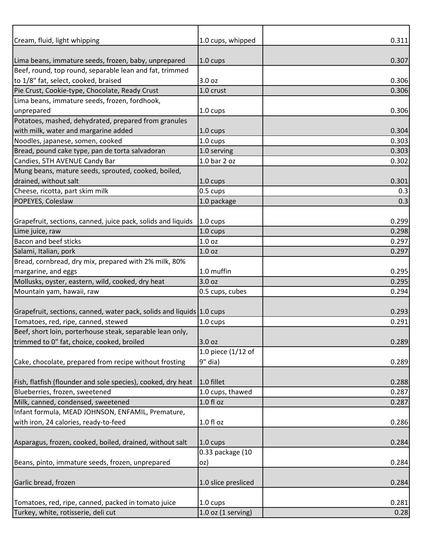| Cream, fluid, light whipping                                                 | 1.0 cups, whipped    | 0.311          |
|------------------------------------------------------------------------------|----------------------|----------------|
|                                                                              |                      |                |
| Lima beans, immature seeds, frozen, baby, unprepared                         | $1.0 \text{ cups}$   | 0.307          |
| Beef, round, top round, separable lean and fat, trimmed                      |                      |                |
| to 1/8" fat, select, cooked, braised                                         | 3.0 oz               | 0.306          |
| Pie Crust, Cookie-type, Chocolate, Ready Crust                               | 1.0 crust            | 0.306          |
| Lima beans, immature seeds, frozen, fordhook,                                |                      |                |
| unprepared                                                                   | 1.0 cups             | 0.306          |
| Potatoes, mashed, dehydrated, prepared from granules                         |                      |                |
| with milk, water and margarine added                                         | $1.0 \text{ cups}$   | 0.304          |
| Noodles, japanese, somen, cooked                                             | 1.0 cups             | 0.303          |
| Bread, pound cake type, pan de torta salvadoran                              | 1.0 serving          | 0.303          |
| Candies, 5TH AVENUE Candy Bar                                                | 1.0 bar 2 oz         | 0.302          |
| Mung beans, mature seeds, sprouted, cooked, boiled,                          |                      |                |
| drained, without salt                                                        | $1.0 \text{ cups}$   | 0.301          |
| Cheese, ricotta, part skim milk                                              | 0.5 cups             | 0.3            |
| POPEYES, Coleslaw                                                            | 1.0 package          | 0.3            |
|                                                                              |                      |                |
| Grapefruit, sections, canned, juice pack, solids and liquids                 | $1.0 \text{ cups}$   | 0.299          |
| Lime juice, raw<br>Bacon and beef sticks                                     | 1.0 cups<br>1.0 oz   | 0.298<br>0.297 |
|                                                                              |                      |                |
| Salami, Italian, pork                                                        | 1.0 <sub>oz</sub>    | 0.297          |
| Bread, cornbread, dry mix, prepared with 2% milk, 80%<br>margarine, and eggs | 1.0 muffin           | 0.295          |
| Mollusks, oyster, eastern, wild, cooked, dry heat                            | 3.0 oz               | 0.295          |
| Mountain yam, hawaii, raw                                                    | 0.5 cups, cubes      | 0.294          |
|                                                                              |                      |                |
| Grapefruit, sections, canned, water pack, solids and liquids 1.0 cups        |                      | 0.293          |
| Tomatoes, red, ripe, canned, stewed                                          | 1.0 cups             | 0.291          |
| Beef, short loin, porterhouse steak, separable lean only,                    |                      |                |
| trimmed to 0" fat, choice, cooked, broiled                                   | 3.0 oz               | 0.289          |
|                                                                              | 1.0 piece (1/12 of   |                |
| Cake, chocolate, prepared from recipe without frosting                       | 9" dia)              | 0.289          |
|                                                                              |                      |                |
| Fish, flatfish (flounder and sole species), cooked, dry heat                 | 1.0 fillet           | 0.288          |
| Blueberries, frozen, sweetened                                               | 1.0 cups, thawed     | 0.287          |
| Milk, canned, condensed, sweetened                                           | 1.0 fl oz            | 0.287          |
| Infant formula, MEAD JOHNSON, ENFAMIL, Premature,                            |                      |                |
| with iron, 24 calories, ready-to-feed                                        | $1.0 f$ l oz         | 0.286          |
|                                                                              |                      |                |
| Asparagus, frozen, cooked, boiled, drained, without salt                     | $1.0 \text{ cups}$   | 0.284          |
|                                                                              | 0.33 package (10     |                |
| Beans, pinto, immature seeds, frozen, unprepared                             | oz)                  | 0.284          |
|                                                                              |                      |                |
| Garlic bread, frozen                                                         | 1.0 slice presliced  | 0.284          |
|                                                                              |                      |                |
| Tomatoes, red, ripe, canned, packed in tomato juice                          | 1.0 cups             | 0.281          |
| Turkey, white, rotisserie, deli cut                                          | $1.0$ oz (1 serving) | 0.28           |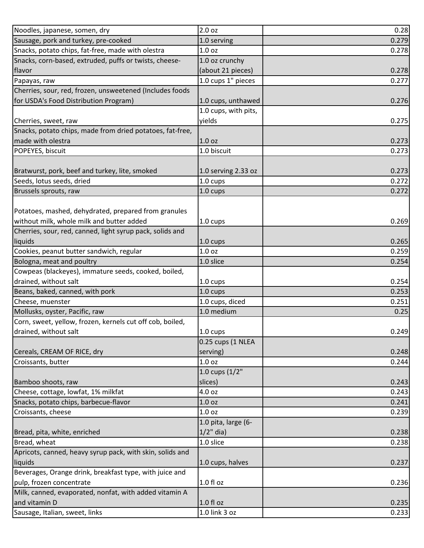| Noodles, japanese, somen, dry                             | 2.0 oz               | 0.28  |
|-----------------------------------------------------------|----------------------|-------|
| Sausage, pork and turkey, pre-cooked                      | 1.0 serving          | 0.279 |
| Snacks, potato chips, fat-free, made with olestra         | 1.0 <sub>oz</sub>    | 0.278 |
| Snacks, corn-based, extruded, puffs or twists, cheese-    | 1.0 oz crunchy       |       |
| flavor                                                    | (about 21 pieces)    | 0.278 |
| Papayas, raw                                              | 1.0 cups 1" pieces   | 0.277 |
| Cherries, sour, red, frozen, unsweetened (Includes foods  |                      |       |
| for USDA's Food Distribution Program)                     | 1.0 cups, unthawed   | 0.276 |
|                                                           | 1.0 cups, with pits, |       |
| Cherries, sweet, raw                                      | yields               | 0.275 |
| Snacks, potato chips, made from dried potatoes, fat-free, |                      |       |
| made with olestra                                         | 1.0 <sub>oz</sub>    | 0.273 |
| POPEYES, biscuit                                          | 1.0 biscuit          | 0.273 |
|                                                           |                      |       |
| Bratwurst, pork, beef and turkey, lite, smoked            | 1.0 serving 2.33 oz  | 0.273 |
| Seeds, lotus seeds, dried                                 | 1.0 cups             | 0.272 |
| Brussels sprouts, raw                                     | $1.0 \text{ cups}$   | 0.272 |
|                                                           |                      |       |
| Potatoes, mashed, dehydrated, prepared from granules      |                      |       |
| without milk, whole milk and butter added                 | $1.0 \text{ cups}$   | 0.269 |
| Cherries, sour, red, canned, light syrup pack, solids and |                      |       |
| liquids                                                   | $1.0 \text{ cups}$   | 0.265 |
| Cookies, peanut butter sandwich, regular                  | 1.0 <sub>oz</sub>    | 0.259 |
| Bologna, meat and poultry                                 | 1.0 slice            | 0.254 |
| Cowpeas (blackeyes), immature seeds, cooked, boiled,      |                      |       |
| drained, without salt                                     | 1.0 cups             | 0.254 |
| Beans, baked, canned, with pork                           | 1.0 cups             | 0.253 |
| Cheese, muenster                                          | 1.0 cups, diced      | 0.251 |
| Mollusks, oyster, Pacific, raw                            | 1.0 medium           | 0.25  |
| Corn, sweet, yellow, frozen, kernels cut off cob, boiled, |                      |       |
| drained, without salt                                     | 1.0 cups             | 0.249 |
|                                                           | 0.25 cups (1 NLEA    |       |
| Cereals, CREAM OF RICE, dry                               | serving)             | 0.248 |
| Croissants, butter                                        | 1.0 oz               | 0.244 |
|                                                           | 1.0 cups (1/2"       |       |
| Bamboo shoots, raw                                        | slices)              | 0.243 |
| Cheese, cottage, lowfat, 1% milkfat                       | 4.0 oz               | 0.243 |
| Snacks, potato chips, barbecue-flavor                     | 1.0 <sub>oz</sub>    | 0.241 |
| Croissants, cheese                                        | 1.0 <sub>oz</sub>    | 0.239 |
|                                                           | 1.0 pita, large (6-  |       |
| Bread, pita, white, enriched                              | $1/2$ " dia)         | 0.238 |
| Bread, wheat                                              | 1.0 slice            | 0.238 |
| Apricots, canned, heavy syrup pack, with skin, solids and |                      |       |
| liquids                                                   | 1.0 cups, halves     | 0.237 |
| Beverages, Orange drink, breakfast type, with juice and   |                      |       |
| pulp, frozen concentrate                                  | 1.0 fl oz            | 0.236 |
| Milk, canned, evaporated, nonfat, with added vitamin A    |                      |       |
| and vitamin D                                             | 1.0 fl oz            | 0.235 |
| Sausage, Italian, sweet, links                            | 1.0 link 3 oz        | 0.233 |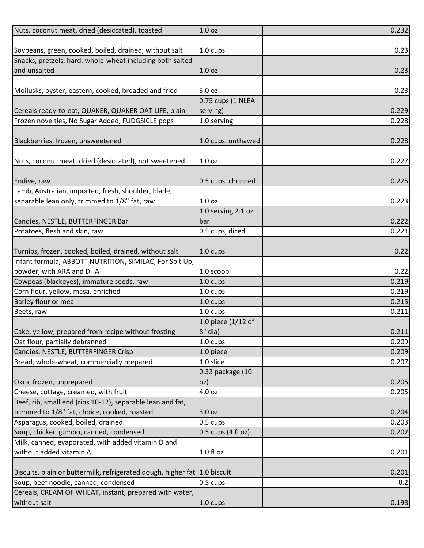| Nuts, coconut meat, dried (desiccated), toasted                           | 1.0 <sub>oz</sub>    | 0.232 |
|---------------------------------------------------------------------------|----------------------|-------|
|                                                                           |                      |       |
| Soybeans, green, cooked, boiled, drained, without salt                    | 1.0 cups             | 0.23  |
| Snacks, pretzels, hard, whole-wheat including both salted                 |                      |       |
| and unsalted                                                              | 1.0 <sub>oz</sub>    | 0.23  |
|                                                                           |                      |       |
| Mollusks, oyster, eastern, cooked, breaded and fried                      | 3.0 oz               | 0.23  |
|                                                                           | 0.75 cups (1 NLEA    |       |
| Cereals ready-to-eat, QUAKER, QUAKER OAT LIFE, plain                      | serving)             | 0.229 |
| Frozen novelties, No Sugar Added, FUDGSICLE pops                          | 1.0 serving          | 0.228 |
|                                                                           |                      |       |
| Blackberries, frozen, unsweetened                                         | 1.0 cups, unthawed   | 0.228 |
|                                                                           |                      |       |
| Nuts, coconut meat, dried (desiccated), not sweetened                     | 1.0 <sub>oz</sub>    | 0.227 |
|                                                                           |                      |       |
| Endive, raw                                                               | 0.5 cups, chopped    | 0.225 |
| Lamb, Australian, imported, fresh, shoulder, blade,                       |                      |       |
| separable lean only, trimmed to 1/8" fat, raw                             | 1.0 <sub>oz</sub>    | 0.223 |
|                                                                           | 1.0 serving 2.1 oz   |       |
| Candies, NESTLE, BUTTERFINGER Bar                                         | bar                  | 0.222 |
| Potatoes, flesh and skin, raw                                             | 0.5 cups, diced      | 0.221 |
|                                                                           |                      |       |
| Turnips, frozen, cooked, boiled, drained, without salt                    | $1.0 \text{ cups}$   | 0.22  |
| Infant formula, ABBOTT NUTRITION, SIMILAC, For Spit Up,                   |                      |       |
| powder, with ARA and DHA                                                  | 1.0 scoop            | 0.22  |
| Cowpeas (blackeyes), immature seeds, raw                                  | 1.0 cups             | 0.219 |
| Corn flour, yellow, masa, enriched                                        | 1.0 cups             | 0.219 |
| Barley flour or meal                                                      | 1.0 cups             | 0.215 |
| Beets, raw                                                                | 1.0 cups             | 0.211 |
|                                                                           | 1.0 piece $(1/12$ of |       |
| Cake, yellow, prepared from recipe without frosting                       | $8"$ dia)            | 0.211 |
| Oat flour, partially debranned                                            | 1.0 cups             | 0.209 |
| Candies, NESTLE, BUTTERFINGER Crisp                                       | 1.0 piece            | 0.209 |
| Bread, whole-wheat, commercially prepared                                 | 1.0 slice            | 0.207 |
|                                                                           | 0.33 package (10     |       |
| Okra, frozen, unprepared                                                  | oz)                  | 0.205 |
| Cheese, cottage, creamed, with fruit                                      | 4.0 oz               | 0.205 |
| Beef, rib, small end (ribs 10-12), separable lean and fat,                |                      |       |
| trimmed to 1/8" fat, choice, cooked, roasted                              | 3.0 oz               | 0.204 |
| Asparagus, cooked, boiled, drained                                        | 0.5 cups             | 0.203 |
| Soup, chicken gumbo, canned, condensed                                    | 0.5 cups (4 fl oz)   | 0.202 |
| Milk, canned, evaporated, with added vitamin D and                        |                      |       |
| without added vitamin A                                                   | $1.0 f$ l oz         | 0.201 |
|                                                                           |                      |       |
| Biscuits, plain or buttermilk, refrigerated dough, higher fat 1.0 biscuit |                      | 0.201 |
| Soup, beef noodle, canned, condensed                                      | 0.5 cups             | 0.2   |
| Cereals, CREAM OF WHEAT, instant, prepared with water,                    |                      |       |
| without salt                                                              | 1.0 cups             | 0.198 |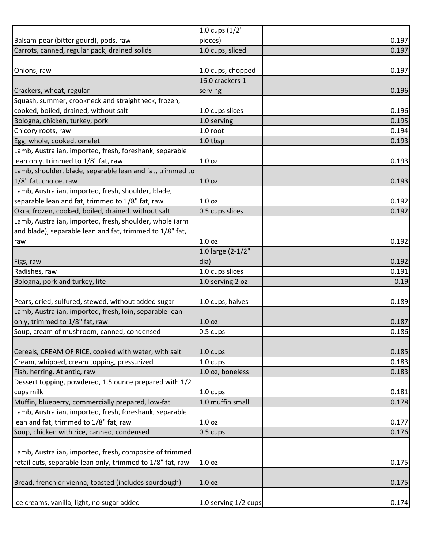| pieces)            | 0.197                                                                   |
|--------------------|-------------------------------------------------------------------------|
| 1.0 cups, sliced   | 0.197                                                                   |
|                    |                                                                         |
| 1.0 cups, chopped  | 0.197                                                                   |
| 16.0 crackers 1    |                                                                         |
| serving            | 0.196                                                                   |
|                    |                                                                         |
| 1.0 cups slices    | 0.196                                                                   |
| 1.0 serving        | 0.195                                                                   |
| 1.0 root           | 0.194                                                                   |
| 1.0 tbsp           | 0.193                                                                   |
|                    |                                                                         |
| 1.0 <sub>oz</sub>  | 0.193                                                                   |
|                    |                                                                         |
| 1.0 <sub>oz</sub>  | 0.193                                                                   |
|                    |                                                                         |
| 1.0 <sub>oz</sub>  | 0.192                                                                   |
| 0.5 cups slices    | 0.192                                                                   |
|                    |                                                                         |
|                    |                                                                         |
| 1.0 <sub>oz</sub>  | 0.192                                                                   |
|                    |                                                                         |
| dia)               | 0.192                                                                   |
| 1.0 cups slices    | 0.191                                                                   |
| 1.0 serving 2 oz   | 0.19                                                                    |
|                    |                                                                         |
| 1.0 cups, halves   | 0.189                                                                   |
|                    |                                                                         |
| 1.0 <sub>oz</sub>  | 0.187                                                                   |
|                    | 0.186                                                                   |
|                    |                                                                         |
| $1.0 \text{ cups}$ | 0.185                                                                   |
|                    | 0.183                                                                   |
| 1.0 oz, boneless   | 0.183                                                                   |
|                    |                                                                         |
| $1.0 \text{ cups}$ | 0.181                                                                   |
| 1.0 muffin small   | 0.178                                                                   |
|                    |                                                                         |
| 1.0 <sub>oz</sub>  | 0.177                                                                   |
|                    | 0.176                                                                   |
|                    |                                                                         |
|                    |                                                                         |
|                    |                                                                         |
| 1.0 <sub>oz</sub>  | 0.175                                                                   |
|                    |                                                                         |
| 1.0 <sub>oz</sub>  | 0.175                                                                   |
|                    |                                                                         |
|                    | 1.0 cups (1/2"<br>1.0 large (2-1/2"<br>0.5 cups<br>1.0 cups<br>0.5 cups |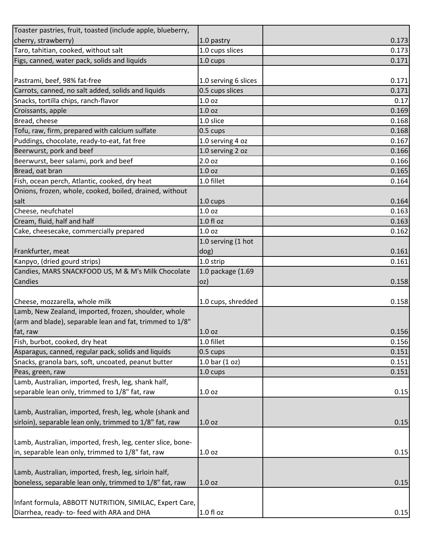| Toaster pastries, fruit, toasted (include apple, blueberry, |                      |       |
|-------------------------------------------------------------|----------------------|-------|
| cherry, strawberry)                                         | 1.0 pastry           | 0.173 |
| Taro, tahitian, cooked, without salt                        | 1.0 cups slices      | 0.173 |
| Figs, canned, water pack, solids and liquids                | 1.0 cups             | 0.171 |
|                                                             |                      |       |
| Pastrami, beef, 98% fat-free                                | 1.0 serving 6 slices | 0.171 |
| Carrots, canned, no salt added, solids and liquids          | 0.5 cups slices      | 0.171 |
| Snacks, tortilla chips, ranch-flavor                        | 1.0 <sub>oz</sub>    | 0.17  |
| Croissants, apple                                           | 1.0 <sub>oz</sub>    | 0.169 |
| Bread, cheese                                               | 1.0 slice            | 0.168 |
| Tofu, raw, firm, prepared with calcium sulfate              | 0.5 cups             | 0.168 |
| Puddings, chocolate, ready-to-eat, fat free                 | 1.0 serving 4 oz     | 0.167 |
| Beerwurst, pork and beef                                    | 1.0 serving 2 oz     | 0.166 |
| Beerwurst, beer salami, pork and beef                       | 2.0 oz               | 0.166 |
| Bread, oat bran                                             | 1.0 <sub>oz</sub>    | 0.165 |
| Fish, ocean perch, Atlantic, cooked, dry heat               | 1.0 fillet           | 0.164 |
| Onions, frozen, whole, cooked, boiled, drained, without     |                      |       |
| salt                                                        | $1.0 \text{ cups}$   | 0.164 |
| Cheese, neufchatel                                          | 1.0 oz               | 0.163 |
| Cream, fluid, half and half                                 | $1.0 f$ l oz         | 0.163 |
| Cake, cheesecake, commercially prepared                     | 1.0 <sub>oz</sub>    | 0.162 |
|                                                             | 1.0 serving (1 hot   |       |
| Frankfurter, meat                                           | dog)                 | 0.161 |
| Kanpyo, (dried gourd strips)                                | 1.0 strip            | 0.161 |
| Candies, MARS SNACKFOOD US, M & M's Milk Chocolate          | 1.0 package (1.69    |       |
| Candies                                                     | loz)                 | 0.158 |
|                                                             |                      |       |
| Cheese, mozzarella, whole milk                              | 1.0 cups, shredded   | 0.158 |
| Lamb, New Zealand, imported, frozen, shoulder, whole        |                      |       |
| (arm and blade), separable lean and fat, trimmed to 1/8"    |                      |       |
| fat, raw                                                    | 1.0 <sub>oz</sub>    | 0.156 |
| Fish, burbot, cooked, dry heat                              | 1.0 fillet           | 0.156 |
| Asparagus, canned, regular pack, solids and liquids         | 0.5 cups             | 0.151 |
| Snacks, granola bars, soft, uncoated, peanut butter         | 1.0 bar $(1 oz)$     | 0.151 |
| Peas, green, raw                                            | 1.0 cups             | 0.151 |
| Lamb, Australian, imported, fresh, leg, shank half,         |                      |       |
| separable lean only, trimmed to 1/8" fat, raw               | 1.0 <sub>oz</sub>    | 0.15  |
|                                                             |                      |       |
| Lamb, Australian, imported, fresh, leg, whole (shank and    |                      |       |
| sirloin), separable lean only, trimmed to 1/8" fat, raw     | 1.0 <sub>oz</sub>    | 0.15  |
|                                                             |                      |       |
| Lamb, Australian, imported, fresh, leg, center slice, bone- |                      |       |
| in, separable lean only, trimmed to 1/8" fat, raw           | 1.0 <sub>oz</sub>    | 0.15  |
|                                                             |                      |       |
| Lamb, Australian, imported, fresh, leg, sirloin half,       |                      |       |
| boneless, separable lean only, trimmed to 1/8" fat, raw     | 1.0 <sub>oz</sub>    | 0.15  |
|                                                             |                      |       |
| Infant formula, ABBOTT NUTRITION, SIMILAC, Expert Care,     |                      |       |
| Diarrhea, ready- to- feed with ARA and DHA                  | $1.0 f$ l oz         | 0.15  |
|                                                             |                      |       |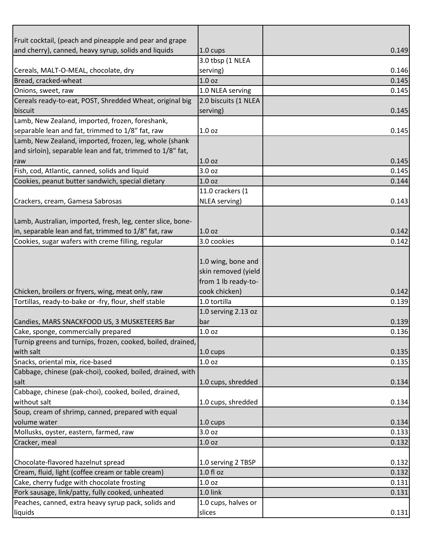| Fruit cocktail, (peach and pineapple and pear and grape     |                      |       |
|-------------------------------------------------------------|----------------------|-------|
| and cherry), canned, heavy syrup, solids and liquids        | 1.0 cups             | 0.149 |
|                                                             | 3.0 tbsp (1 NLEA     |       |
| Cereals, MALT-O-MEAL, chocolate, dry                        | serving)             | 0.146 |
| Bread, cracked-wheat                                        | 1.0 oz               | 0.145 |
| Onions, sweet, raw                                          | 1.0 NLEA serving     | 0.145 |
| Cereals ready-to-eat, POST, Shredded Wheat, original big    | 2.0 biscuits (1 NLEA |       |
| biscuit                                                     | serving)             | 0.145 |
| Lamb, New Zealand, imported, frozen, foreshank,             |                      |       |
| separable lean and fat, trimmed to 1/8" fat, raw            | 1.0 <sub>oz</sub>    | 0.145 |
| Lamb, New Zealand, imported, frozen, leg, whole (shank      |                      |       |
| and sirloin), separable lean and fat, trimmed to 1/8" fat,  |                      |       |
| raw                                                         | 1.0 <sub>oz</sub>    | 0.145 |
| Fish, cod, Atlantic, canned, solids and liquid              | 3.0 oz               | 0.145 |
| Cookies, peanut butter sandwich, special dietary            | 1.0 <sub>oz</sub>    | 0.144 |
|                                                             | 11.0 crackers (1     |       |
| Crackers, cream, Gamesa Sabrosas                            | NLEA serving)        | 0.143 |
|                                                             |                      |       |
| Lamb, Australian, imported, fresh, leg, center slice, bone- |                      |       |
| in, separable lean and fat, trimmed to 1/8" fat, raw        | 1.0 oz               | 0.142 |
| Cookies, sugar wafers with creme filling, regular           | 3.0 cookies          | 0.142 |
|                                                             |                      |       |
|                                                             | 1.0 wing, bone and   |       |
|                                                             | skin removed (yield  |       |
|                                                             | from 1 lb ready-to-  |       |
| Chicken, broilers or fryers, wing, meat only, raw           | cook chicken)        | 0.142 |
| Tortillas, ready-to-bake or -fry, flour, shelf stable       | 1.0 tortilla         | 0.139 |
|                                                             | 1.0 serving 2.13 oz  |       |
| Candies, MARS SNACKFOOD US, 3 MUSKETEERS Bar                | bar                  | 0.139 |
| Cake, sponge, commercially prepared                         | 1.0 <sub>oz</sub>    | 0.136 |
| Turnip greens and turnips, frozen, cooked, boiled, drained, |                      |       |
| with salt                                                   | $1.0 \text{ cups}$   | 0.135 |
| Snacks, oriental mix, rice-based                            | 1.0 <sub>oz</sub>    | 0.135 |
| Cabbage, chinese (pak-choi), cooked, boiled, drained, with  |                      |       |
| salt                                                        | 1.0 cups, shredded   | 0.134 |
| Cabbage, chinese (pak-choi), cooked, boiled, drained,       |                      |       |
| without salt                                                | 1.0 cups, shredded   | 0.134 |
| Soup, cream of shrimp, canned, prepared with equal          |                      |       |
| volume water                                                | $1.0 \text{ cups}$   | 0.134 |
| Mollusks, oyster, eastern, farmed, raw                      | 3.0 oz               | 0.133 |
| Cracker, meal                                               | 1.0 <sub>oz</sub>    | 0.132 |
|                                                             |                      |       |
| Chocolate-flavored hazelnut spread                          | 1.0 serving 2 TBSP   | 0.132 |
| Cream, fluid, light (coffee cream or table cream)           | 1.0 fl oz            | 0.132 |
| Cake, cherry fudge with chocolate frosting                  | 1.0 <sub>oz</sub>    | 0.131 |
| Pork sausage, link/patty, fully cooked, unheated            | 1.0 link             | 0.131 |
| Peaches, canned, extra heavy syrup pack, solids and         | 1.0 cups, halves or  |       |
| liquids                                                     | slices               | 0.131 |
|                                                             |                      |       |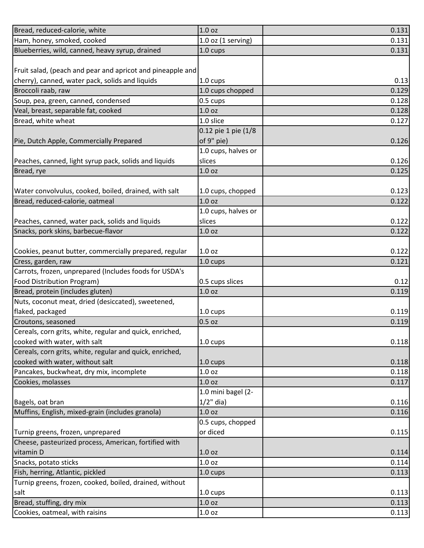| Bread, reduced-calorie, white                              | 1.0 <sub>oz</sub>           | 0.131                            |
|------------------------------------------------------------|-----------------------------|----------------------------------|
| Ham, honey, smoked, cooked                                 | $1.0$ oz (1 serving)        | 0.131                            |
| Blueberries, wild, canned, heavy syrup, drained            | 1.0 cups                    | 0.131                            |
|                                                            |                             |                                  |
| Fruit salad, (peach and pear and apricot and pineapple and |                             |                                  |
| cherry), canned, water pack, solids and liquids            | $1.0 \text{ cups}$          | 0.13                             |
| Broccoli raab, raw                                         | 1.0 cups chopped            | 0.129                            |
| Soup, pea, green, canned, condensed                        | 0.5 cups                    | 0.128                            |
| Veal, breast, separable fat, cooked                        | 1.0 oz                      | 0.128                            |
| Bread, white wheat                                         | 1.0 slice                   | 0.127                            |
|                                                            | 0.12 pie 1 pie (1/8         |                                  |
| Pie, Dutch Apple, Commercially Prepared                    | of 9" pie)                  | 0.126                            |
|                                                            | 1.0 cups, halves or         |                                  |
| Peaches, canned, light syrup pack, solids and liquids      | slices                      | 0.126                            |
| Bread, rye                                                 | 1.0 oz                      | 0.125                            |
|                                                            |                             |                                  |
| Water convolvulus, cooked, boiled, drained, with salt      | 1.0 cups, chopped           | 0.123                            |
| Bread, reduced-calorie, oatmeal                            | 1.0 <sub>oz</sub>           | 0.122                            |
|                                                            | 1.0 cups, halves or         |                                  |
| Peaches, canned, water pack, solids and liquids            | slices                      | 0.122                            |
| Snacks, pork skins, barbecue-flavor                        | 1.0 <sub>oz</sub>           | 0.122                            |
|                                                            |                             |                                  |
| Cookies, peanut butter, commercially prepared, regular     | 1.0 <sub>oz</sub>           | 0.122                            |
| Cress, garden, raw                                         | 1.0 cups                    | 0.121                            |
| Carrots, frozen, unprepared (Includes foods for USDA's     |                             |                                  |
| Food Distribution Program)                                 | 0.5 cups slices             | 0.12                             |
| Bread, protein (includes gluten)                           | 1.0 <sub>oz</sub>           | 0.119                            |
| Nuts, coconut meat, dried (desiccated), sweetened,         |                             |                                  |
| flaked, packaged                                           | 1.0 cups                    | 0.119                            |
| Croutons, seasoned                                         | 0.5 oz                      | 0.119                            |
| Cereals, corn grits, white, regular and quick, enriched,   |                             |                                  |
| cooked with water, with salt                               | $1.0 \text{ cups}$          | 0.118                            |
| Cereals, corn grits, white, regular and quick, enriched,   |                             |                                  |
| cooked with water, without salt                            | $1.0 \text{ cups}$          | 0.118                            |
| Pancakes, buckwheat, dry mix, incomplete                   | 1.0 oz                      | 0.118                            |
| Cookies, molasses                                          | 1.0 <sub>oz</sub>           | 0.117                            |
|                                                            | 1.0 mini bagel (2-          |                                  |
| Bagels, oat bran                                           |                             |                                  |
| Muffins, English, mixed-grain (includes granola)           |                             |                                  |
|                                                            | $1/2$ " dia)                |                                  |
|                                                            | 1.0 <sub>oz</sub>           | 0.116                            |
|                                                            | 0.5 cups, chopped           |                                  |
| Turnip greens, frozen, unprepared                          | or diced                    |                                  |
| Cheese, pasteurized process, American, fortified with      |                             |                                  |
| vitamin D                                                  | 1.0 <sub>oz</sub>           |                                  |
| Snacks, potato sticks                                      | 1.0 <sub>oz</sub>           | 0.116<br>0.115<br>0.114<br>0.114 |
| Fish, herring, Atlantic, pickled                           | 1.0 cups                    | 0.113                            |
| Turnip greens, frozen, cooked, boiled, drained, without    |                             |                                  |
| salt                                                       | $1.0 \text{ cups}$          | 0.113                            |
| Bread, stuffing, dry mix<br>Cookies, oatmeal, with raisins | 1.0 <sub>oz</sub><br>1.0 oz | 0.113<br>0.113                   |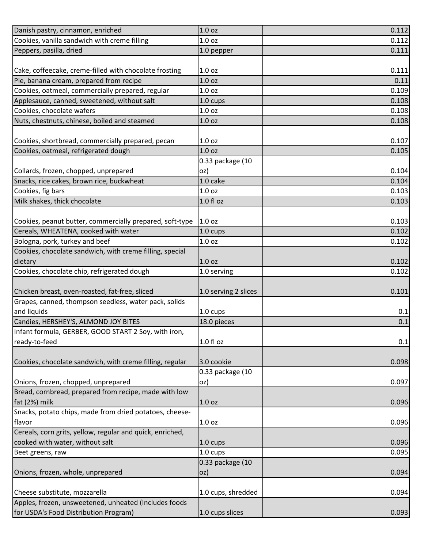| Danish pastry, cinnamon, enriched                                                            | 1.0 <sub>oz</sub>    | 0.112 |
|----------------------------------------------------------------------------------------------|----------------------|-------|
| Cookies, vanilla sandwich with creme filling                                                 | 1.0 <sub>oz</sub>    | 0.112 |
| Peppers, pasilla, dried                                                                      | 1.0 pepper           | 0.111 |
|                                                                                              |                      |       |
| Cake, coffeecake, creme-filled with chocolate frosting                                       | 1.0 <sub>oz</sub>    | 0.111 |
| Pie, banana cream, prepared from recipe                                                      | 1.0 <sub>oz</sub>    | 0.11  |
| Cookies, oatmeal, commercially prepared, regular                                             | 1.0 <sub>oz</sub>    | 0.109 |
| Applesauce, canned, sweetened, without salt                                                  | 1.0 cups             | 0.108 |
| Cookies, chocolate wafers                                                                    | 1.0 <sub>oz</sub>    | 0.108 |
| Nuts, chestnuts, chinese, boiled and steamed                                                 | 1.0 oz               | 0.108 |
|                                                                                              |                      |       |
| Cookies, shortbread, commercially prepared, pecan                                            | 1.0 <sub>oz</sub>    | 0.107 |
| Cookies, oatmeal, refrigerated dough                                                         | 1.0 <sub>oz</sub>    | 0.105 |
|                                                                                              | 0.33 package (10     |       |
| Collards, frozen, chopped, unprepared                                                        | oz)                  | 0.104 |
| Snacks, rice cakes, brown rice, buckwheat                                                    | $1.0$ cake           | 0.104 |
| Cookies, fig bars                                                                            | 1.0 <sub>oz</sub>    | 0.103 |
| Milk shakes, thick chocolate                                                                 | 1.0 fl oz            | 0.103 |
|                                                                                              |                      |       |
| Cookies, peanut butter, commercially prepared, soft-type                                     | 1.0 <sub>oz</sub>    | 0.103 |
| Cereals, WHEATENA, cooked with water                                                         | 1.0 cups             | 0.102 |
| Bologna, pork, turkey and beef                                                               | 1.0 <sub>oz</sub>    | 0.102 |
| Cookies, chocolate sandwich, with creme filling, special                                     |                      |       |
| dietary                                                                                      | 1.0 <sub>oz</sub>    | 0.102 |
| Cookies, chocolate chip, refrigerated dough                                                  | 1.0 serving          | 0.102 |
|                                                                                              |                      |       |
| Chicken breast, oven-roasted, fat-free, sliced                                               | 1.0 serving 2 slices | 0.101 |
| Grapes, canned, thompson seedless, water pack, solids                                        |                      |       |
| and liquids                                                                                  | $1.0 \text{ cups}$   | 0.1   |
| Candies, HERSHEY'S, ALMOND JOY BITES                                                         | 18.0 pieces          | 0.1   |
| Infant formula, GERBER, GOOD START 2 Soy, with iron,                                         |                      |       |
| ready-to-feed                                                                                | 1.0 fl oz            | 0.1   |
|                                                                                              |                      |       |
| Cookies, chocolate sandwich, with creme filling, regular                                     | 3.0 cookie           | 0.098 |
|                                                                                              | 0.33 package (10     |       |
| Onions, frozen, chopped, unprepared<br>Bread, cornbread, prepared from recipe, made with low | oz)                  | 0.097 |
| fat (2%) milk                                                                                |                      |       |
| Snacks, potato chips, made from dried potatoes, cheese-                                      | 1.0 <sub>oz</sub>    | 0.096 |
| flavor                                                                                       | 1.0 <sub>oz</sub>    | 0.096 |
| Cereals, corn grits, yellow, regular and quick, enriched,                                    |                      |       |
| cooked with water, without salt                                                              | $1.0 \text{ cups}$   | 0.096 |
| Beet greens, raw                                                                             | 1.0 cups             | 0.095 |
|                                                                                              | 0.33 package (10     |       |
| Onions, frozen, whole, unprepared                                                            | oz)                  | 0.094 |
|                                                                                              |                      |       |
| Cheese substitute, mozzarella                                                                | 1.0 cups, shredded   | 0.094 |
| Apples, frozen, unsweetened, unheated (Includes foods                                        |                      |       |
| for USDA's Food Distribution Program)                                                        | 1.0 cups slices      | 0.093 |
|                                                                                              |                      |       |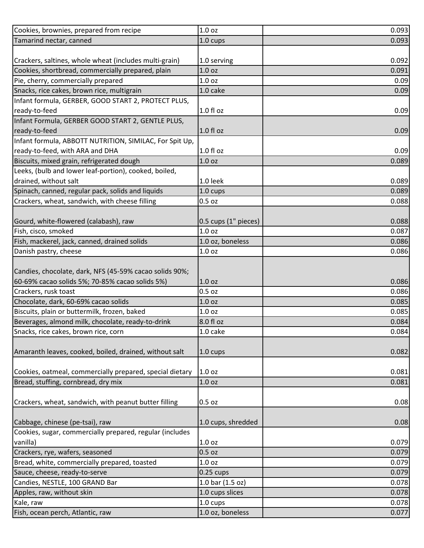| Cookies, brownies, prepared from recipe                  | 1.0 <sub>oz</sub>    | 0.093 |
|----------------------------------------------------------|----------------------|-------|
| Tamarind nectar, canned                                  | 1.0 cups             | 0.093 |
|                                                          |                      |       |
| Crackers, saltines, whole wheat (includes multi-grain)   | 1.0 serving          | 0.092 |
| Cookies, shortbread, commercially prepared, plain        | 1.0 <sub>oz</sub>    | 0.091 |
| Pie, cherry, commercially prepared                       | 1.0 <sub>oz</sub>    | 0.09  |
| Snacks, rice cakes, brown rice, multigrain               | 1.0 cake             | 0.09  |
| Infant formula, GERBER, GOOD START 2, PROTECT PLUS,      |                      |       |
| ready-to-feed                                            | 1.0 fl oz            | 0.09  |
| Infant Formula, GERBER GOOD START 2, GENTLE PLUS,        |                      |       |
| ready-to-feed                                            | $1.0 f$ l oz         | 0.09  |
| Infant formula, ABBOTT NUTRITION, SIMILAC, For Spit Up,  |                      |       |
| ready-to-feed, with ARA and DHA                          | $1.0 f$ l oz         | 0.09  |
| Biscuits, mixed grain, refrigerated dough                | 1.0 <sub>oz</sub>    | 0.089 |
| Leeks, (bulb and lower leaf-portion), cooked, boiled,    |                      |       |
| drained, without salt                                    | 1.0 leek             | 0.089 |
| Spinach, canned, regular pack, solids and liquids        | 1.0 cups             | 0.089 |
| Crackers, wheat, sandwich, with cheese filling           | 0.5 oz               | 0.088 |
|                                                          |                      |       |
| Gourd, white-flowered (calabash), raw                    | 0.5 cups (1" pieces) | 0.088 |
| Fish, cisco, smoked                                      | 1.0 <sub>oz</sub>    | 0.087 |
| Fish, mackerel, jack, canned, drained solids             | 1.0 oz, boneless     | 0.086 |
| Danish pastry, cheese                                    | 1.0 <sub>oz</sub>    | 0.086 |
|                                                          |                      |       |
| Candies, chocolate, dark, NFS (45-59% cacao solids 90%;  |                      |       |
| 60-69% cacao solids 5%; 70-85% cacao solids 5%)          | 1.0 <sub>oz</sub>    | 0.086 |
| Crackers, rusk toast                                     | $0.5$ oz             | 0.086 |
| Chocolate, dark, 60-69% cacao solids                     | 1.0 <sub>oz</sub>    | 0.085 |
| Biscuits, plain or buttermilk, frozen, baked             | 1.0 <sub>oz</sub>    | 0.085 |
| Beverages, almond milk, chocolate, ready-to-drink        | 8.0 fl oz            | 0.084 |
| Snacks, rice cakes, brown rice, corn                     | 1.0 cake             | 0.084 |
|                                                          |                      |       |
| Amaranth leaves, cooked, boiled, drained, without salt   | 1.0 cups             | 0.082 |
|                                                          |                      |       |
| Cookies, oatmeal, commercially prepared, special dietary | 1.0 <sub>oz</sub>    | 0.081 |
| Bread, stuffing, cornbread, dry mix                      | 1.0 <sub>oz</sub>    | 0.081 |
|                                                          |                      |       |
| Crackers, wheat, sandwich, with peanut butter filling    | $0.5$ oz             | 0.08  |
|                                                          |                      |       |
| Cabbage, chinese (pe-tsai), raw                          | 1.0 cups, shredded   | 0.08  |
| Cookies, sugar, commercially prepared, regular (includes |                      |       |
| vanilla)                                                 | 1.0 <sub>oz</sub>    | 0.079 |
| Crackers, rye, wafers, seasoned                          | $0.5$ oz             | 0.079 |
| Bread, white, commercially prepared, toasted             | 1.0 <sub>oz</sub>    | 0.079 |
| Sauce, cheese, ready-to-serve                            | $0.25$ cups          | 0.079 |
| Candies, NESTLE, 100 GRAND Bar                           | 1.0 bar (1.5 oz)     | 0.078 |
| Apples, raw, without skin                                | 1.0 cups slices      | 0.078 |
| Kale, raw                                                | 1.0 cups             | 0.078 |
| Fish, ocean perch, Atlantic, raw                         | 1.0 oz, boneless     | 0.077 |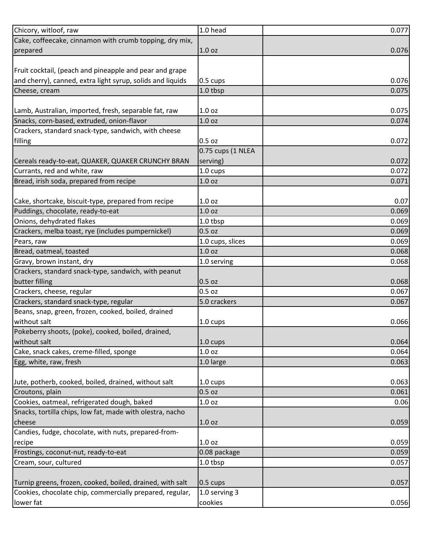| Chicory, witloof, raw                                      | 1.0 head           | 0.077 |
|------------------------------------------------------------|--------------------|-------|
| Cake, coffeecake, cinnamon with crumb topping, dry mix,    |                    |       |
| prepared                                                   | 1.0 <sub>oz</sub>  | 0.076 |
|                                                            |                    |       |
| Fruit cocktail, (peach and pineapple and pear and grape    |                    |       |
| and cherry), canned, extra light syrup, solids and liquids | $0.5 \text{ cups}$ | 0.076 |
| Cheese, cream                                              | 1.0 tbsp           | 0.075 |
|                                                            |                    |       |
| Lamb, Australian, imported, fresh, separable fat, raw      | 1.0 <sub>oz</sub>  | 0.075 |
| Snacks, corn-based, extruded, onion-flavor                 | 1.0 <sub>oz</sub>  | 0.074 |
| Crackers, standard snack-type, sandwich, with cheese       |                    |       |
| filling                                                    | $0.5$ oz           | 0.072 |
|                                                            | 0.75 cups (1 NLEA  |       |
| Cereals ready-to-eat, QUAKER, QUAKER CRUNCHY BRAN          | serving)           | 0.072 |
| Currants, red and white, raw                               | 1.0 cups           | 0.072 |
| Bread, irish soda, prepared from recipe                    | 1.0 <sub>oz</sub>  | 0.071 |
|                                                            |                    |       |
| Cake, shortcake, biscuit-type, prepared from recipe        | 1.0 <sub>oz</sub>  | 0.07  |
| Puddings, chocolate, ready-to-eat                          | 1.0 oz             | 0.069 |
| Onions, dehydrated flakes                                  | 1.0 tbsp           | 0.069 |
| Crackers, melba toast, rye (includes pumpernickel)         | 0.5 oz             | 0.069 |
| Pears, raw                                                 | 1.0 cups, slices   | 0.069 |
| Bread, oatmeal, toasted                                    | 1.0 <sub>oz</sub>  | 0.068 |
| Gravy, brown instant, dry                                  | 1.0 serving        | 0.068 |
| Crackers, standard snack-type, sandwich, with peanut       |                    |       |
| butter filling                                             | 0.5 oz             | 0.068 |
| Crackers, cheese, regular                                  | $0.5$ oz           | 0.067 |
| Crackers, standard snack-type, regular                     | 5.0 crackers       | 0.067 |
| Beans, snap, green, frozen, cooked, boiled, drained        |                    |       |
| without salt                                               | 1.0 cups           | 0.066 |
| Pokeberry shoots, (poke), cooked, boiled, drained,         |                    |       |
| without salt                                               | 1.0 cups           | 0.064 |
| Cake, snack cakes, creme-filled, sponge                    | 1.0 oz             | 0.064 |
| Egg, white, raw, fresh                                     | 1.0 large          | 0.063 |
|                                                            |                    |       |
| Jute, potherb, cooked, boiled, drained, without salt       | $1.0 \text{ cups}$ | 0.063 |
| Croutons, plain                                            | 0.5 oz             | 0.061 |
| Cookies, oatmeal, refrigerated dough, baked                | $1.0$ oz           | 0.06  |
| Snacks, tortilla chips, low fat, made with olestra, nacho  |                    |       |
| cheese                                                     | 1.0 <sub>oz</sub>  | 0.059 |
| Candies, fudge, chocolate, with nuts, prepared-from-       |                    |       |
| recipe                                                     | 1.0 oz             | 0.059 |
| Frostings, coconut-nut, ready-to-eat                       | 0.08 package       | 0.059 |
| Cream, sour, cultured                                      | 1.0 tbsp           | 0.057 |
|                                                            |                    |       |
| Turnip greens, frozen, cooked, boiled, drained, with salt  | $0.5 \text{ cups}$ | 0.057 |
| Cookies, chocolate chip, commercially prepared, regular,   | 1.0 serving 3      |       |
| lower fat                                                  | cookies            | 0.056 |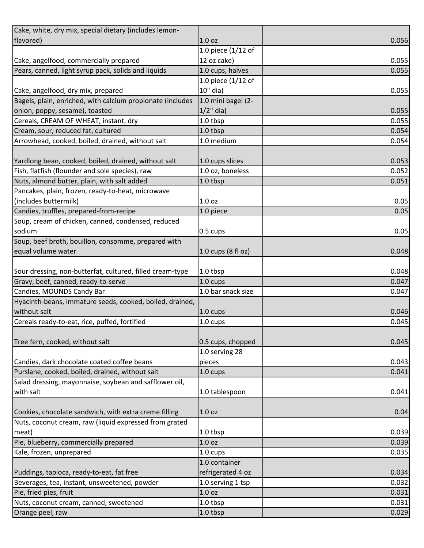| Cake, white, dry mix, special dietary (includes lemon-     |                    |       |
|------------------------------------------------------------|--------------------|-------|
| flavored)                                                  | 1.0 <sub>oz</sub>  | 0.056 |
|                                                            | 1.0 piece (1/12 of |       |
| Cake, angelfood, commercially prepared                     | 12 oz cake)        | 0.055 |
| Pears, canned, light syrup pack, solids and liquids        | 1.0 cups, halves   | 0.055 |
|                                                            | 1.0 piece (1/12 of |       |
| Cake, angelfood, dry mix, prepared                         | 10" dia)           | 0.055 |
| Bagels, plain, enriched, with calcium propionate (includes | 1.0 mini bagel (2- |       |
| onion, poppy, sesame), toasted                             | $1/2$ " dia)       | 0.055 |
| Cereals, CREAM OF WHEAT, instant, dry                      | 1.0 tbsp           | 0.055 |
| Cream, sour, reduced fat, cultured                         | 1.0 tbsp           | 0.054 |
| Arrowhead, cooked, boiled, drained, without salt           | 1.0 medium         | 0.054 |
|                                                            |                    |       |
| Yardlong bean, cooked, boiled, drained, without salt       | 1.0 cups slices    | 0.053 |
| Fish, flatfish (flounder and sole species), raw            | 1.0 oz, boneless   | 0.052 |
| Nuts, almond butter, plain, with salt added                | $1.0$ tbsp         | 0.051 |
| Pancakes, plain, frozen, ready-to-heat, microwave          |                    |       |
| (includes buttermilk)                                      | 1.0 <sub>oz</sub>  | 0.05  |
| Candies, truffles, prepared-from-recipe                    | 1.0 piece          | 0.05  |
| Soup, cream of chicken, canned, condensed, reduced         |                    |       |
| sodium                                                     | $0.5 \text{ cups}$ | 0.05  |
| Soup, beef broth, bouillon, consomme, prepared with        |                    |       |
| equal volume water                                         | 1.0 cups (8 fl oz) | 0.048 |
|                                                            |                    |       |
| Sour dressing, non-butterfat, cultured, filled cream-type  | $1.0$ tbsp         | 0.048 |
| Gravy, beef, canned, ready-to-serve                        | 1.0 cups           | 0.047 |
| Candies, MOUNDS Candy Bar                                  | 1.0 bar snack size | 0.047 |
| Hyacinth-beans, immature seeds, cooked, boiled, drained,   |                    |       |
| without salt                                               | $1.0 \text{ cups}$ | 0.046 |
| Cereals ready-to-eat, rice, puffed, fortified              | 1.0 cups           | 0.045 |
|                                                            |                    |       |
| Tree fern, cooked, without salt                            | 0.5 cups, chopped  | 0.045 |
|                                                            | 1.0 serving 28     |       |
| Candies, dark chocolate coated coffee beans                | pieces             | 0.043 |
| Purslane, cooked, boiled, drained, without salt            | 1.0 cups           | 0.041 |
| Salad dressing, mayonnaise, soybean and safflower oil,     |                    |       |
| with salt                                                  | 1.0 tablespoon     | 0.041 |
|                                                            |                    |       |
| Cookies, chocolate sandwich, with extra creme filling      | 1.0 <sub>oz</sub>  | 0.04  |
| Nuts, coconut cream, raw (liquid expressed from grated     |                    |       |
| meat)                                                      | 1.0 tbsp           | 0.039 |
| Pie, blueberry, commercially prepared                      | 1.0 <sub>oz</sub>  | 0.039 |
| Kale, frozen, unprepared                                   | 1.0 cups           | 0.035 |
|                                                            | 1.0 container      |       |
| Puddings, tapioca, ready-to-eat, fat free                  | refrigerated 4 oz  | 0.034 |
| Beverages, tea, instant, unsweetened, powder               | 1.0 serving 1 tsp  | 0.032 |
| Pie, fried pies, fruit                                     | 1.0 oz             | 0.031 |
| Nuts, coconut cream, canned, sweetened                     | 1.0 tbsp           | 0.031 |
| Orange peel, raw                                           | 1.0 tbsp           | 0.029 |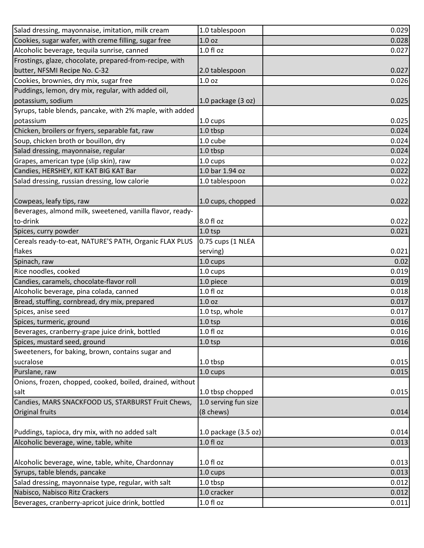| Salad dressing, mayonnaise, imitation, milk cream         | 1.0 tablespoon         | 0.029 |
|-----------------------------------------------------------|------------------------|-------|
| Cookies, sugar wafer, with creme filling, sugar free      | 1.0 <sub>oz</sub>      | 0.028 |
| Alcoholic beverage, tequila sunrise, canned               | 1.0 fl oz              | 0.027 |
| Frostings, glaze, chocolate, prepared-from-recipe, with   |                        |       |
| butter, NFSMI Recipe No. C-32                             | 2.0 tablespoon         | 0.027 |
| Cookies, brownies, dry mix, sugar free                    | 1.0 <sub>oz</sub>      | 0.026 |
| Puddings, lemon, dry mix, regular, with added oil,        |                        |       |
| potassium, sodium                                         | $1.0$ package $(3 oz)$ | 0.025 |
| Syrups, table blends, pancake, with 2% maple, with added  |                        |       |
| potassium                                                 | $1.0 \text{ cups}$     | 0.025 |
| Chicken, broilers or fryers, separable fat, raw           | 1.0 tbsp               | 0.024 |
| Soup, chicken broth or bouillon, dry                      | 1.0 cube               | 0.024 |
| Salad dressing, mayonnaise, regular                       | 1.0 tbsp               | 0.024 |
| Grapes, american type (slip skin), raw                    | 1.0 cups               | 0.022 |
| Candies, HERSHEY, KIT KAT BIG KAT Bar                     | 1.0 bar 1.94 oz        | 0.022 |
| Salad dressing, russian dressing, low calorie             | 1.0 tablespoon         | 0.022 |
|                                                           |                        |       |
| Cowpeas, leafy tips, raw                                  | 1.0 cups, chopped      | 0.022 |
| Beverages, almond milk, sweetened, vanilla flavor, ready- |                        |       |
| to-drink                                                  | 8.0 fl oz              | 0.022 |
| Spices, curry powder                                      | $1.0$ tsp              | 0.021 |
| Cereals ready-to-eat, NATURE'S PATH, Organic FLAX PLUS    | 0.75 cups (1 NLEA      |       |
| flakes                                                    | serving)               | 0.021 |
| Spinach, raw                                              | 1.0 cups               | 0.02  |
| Rice noodles, cooked                                      | 1.0 cups               | 0.019 |
| Candies, caramels, chocolate-flavor roll                  | 1.0 piece              | 0.019 |
| Alcoholic beverage, pina colada, canned                   | 1.0 fl oz              | 0.018 |
| Bread, stuffing, cornbread, dry mix, prepared             | 1.0 <sub>oz</sub>      | 0.017 |
| Spices, anise seed                                        | 1.0 tsp, whole         | 0.017 |
| Spices, turmeric, ground                                  | $1.0$ tsp              | 0.016 |
| Beverages, cranberry-grape juice drink, bottled           | $1.0 f$ l oz           | 0.016 |
| Spices, mustard seed, ground                              | $1.0$ tsp              | 0.016 |
| Sweeteners, for baking, brown, contains sugar and         |                        |       |
| sucralose                                                 | 1.0 tbsp               | 0.015 |
| Purslane, raw                                             | 1.0 cups               | 0.015 |
| Onions, frozen, chopped, cooked, boiled, drained, without |                        |       |
| salt                                                      | 1.0 tbsp chopped       | 0.015 |
| Candies, MARS SNACKFOOD US, STARBURST Fruit Chews,        | 1.0 serving fun size   |       |
| Original fruits                                           | (8 chews)              | 0.014 |
|                                                           |                        |       |
| Puddings, tapioca, dry mix, with no added salt            | 1.0 package (3.5 oz)   | 0.014 |
| Alcoholic beverage, wine, table, white                    | 1.0 fl oz              | 0.013 |
|                                                           |                        |       |
| Alcoholic beverage, wine, table, white, Chardonnay        | 1.0 fl oz              | 0.013 |
| Syrups, table blends, pancake                             | 1.0 cups               | 0.013 |
| Salad dressing, mayonnaise type, regular, with salt       | 1.0 tbsp               | 0.012 |
| Nabisco, Nabisco Ritz Crackers                            | 1.0 cracker            | 0.012 |
| Beverages, cranberry-apricot juice drink, bottled         | 1.0 fl oz              | 0.011 |
|                                                           |                        |       |